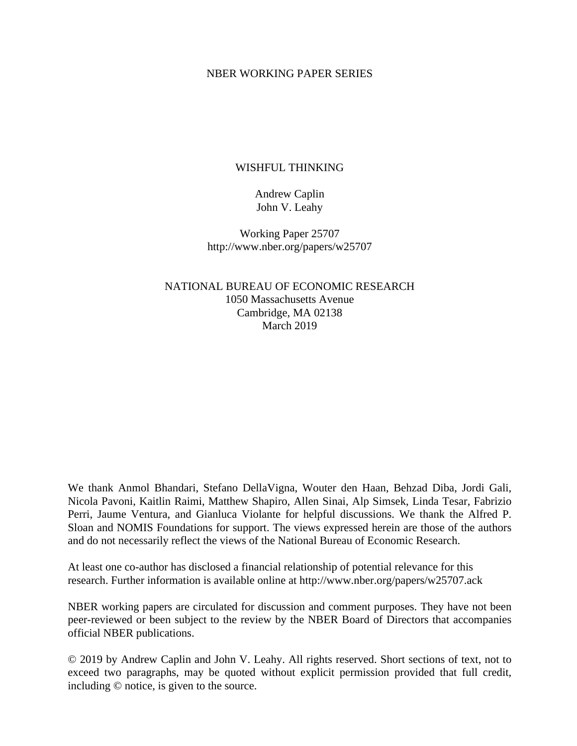#### NBER WORKING PAPER SERIES

### WISHFUL THINKING

### Andrew Caplin John V. Leahy

Working Paper 25707 http://www.nber.org/papers/w25707

NATIONAL BUREAU OF ECONOMIC RESEARCH 1050 Massachusetts Avenue Cambridge, MA 02138 March 2019

We thank Anmol Bhandari, Stefano DellaVigna, Wouter den Haan, Behzad Diba, Jordi Gali, Nicola Pavoni, Kaitlin Raimi, Matthew Shapiro, Allen Sinai, Alp Simsek, Linda Tesar, Fabrizio Perri, Jaume Ventura, and Gianluca Violante for helpful discussions. We thank the Alfred P. Sloan and NOMIS Foundations for support. The views expressed herein are those of the authors and do not necessarily reflect the views of the National Bureau of Economic Research.

At least one co-author has disclosed a financial relationship of potential relevance for this research. Further information is available online at http://www.nber.org/papers/w25707.ack

NBER working papers are circulated for discussion and comment purposes. They have not been peer-reviewed or been subject to the review by the NBER Board of Directors that accompanies official NBER publications.

© 2019 by Andrew Caplin and John V. Leahy. All rights reserved. Short sections of text, not to exceed two paragraphs, may be quoted without explicit permission provided that full credit, including © notice, is given to the source.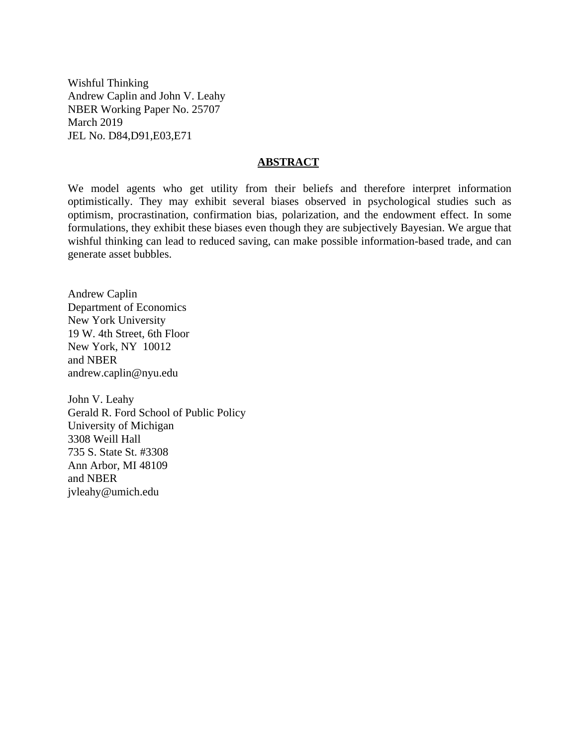Wishful Thinking Andrew Caplin and John V. Leahy NBER Working Paper No. 25707 March 2019 JEL No. D84,D91,E03,E71

#### **ABSTRACT**

We model agents who get utility from their beliefs and therefore interpret information optimistically. They may exhibit several biases observed in psychological studies such as optimism, procrastination, confirmation bias, polarization, and the endowment effect. In some formulations, they exhibit these biases even though they are subjectively Bayesian. We argue that wishful thinking can lead to reduced saving, can make possible information-based trade, and can generate asset bubbles.

Andrew Caplin Department of Economics New York University 19 W. 4th Street, 6th Floor New York, NY 10012 and NBER andrew.caplin@nyu.edu

John V. Leahy Gerald R. Ford School of Public Policy University of Michigan 3308 Weill Hall 735 S. State St. #3308 Ann Arbor, MI 48109 and NBER jvleahy@umich.edu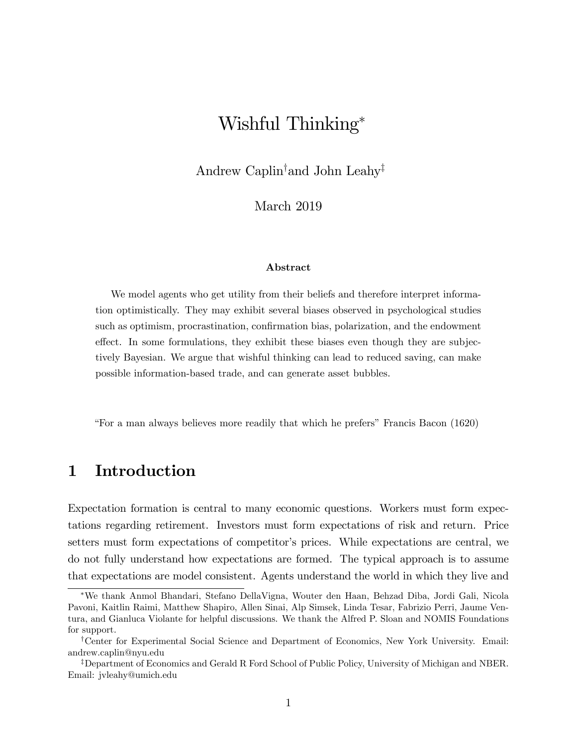# Wishful Thinking

Andrew Caplin<sup>†</sup> and John Leahy<sup>‡</sup>

March 2019

#### Abstract

We model agents who get utility from their beliefs and therefore interpret information optimistically. They may exhibit several biases observed in psychological studies such as optimism, procrastination, confirmation bias, polarization, and the endowment effect. In some formulations, they exhibit these biases even though they are subjectively Bayesian. We argue that wishful thinking can lead to reduced saving, can make possible information-based trade, and can generate asset bubbles.

ìFor a man always believes more readily that which he prefersîFrancis Bacon (1620)

## 1 Introduction

Expectation formation is central to many economic questions. Workers must form expectations regarding retirement. Investors must form expectations of risk and return. Price setters must form expectations of competitor's prices. While expectations are central, we do not fully understand how expectations are formed. The typical approach is to assume that expectations are model consistent. Agents understand the world in which they live and

We thank Anmol Bhandari, Stefano DellaVigna, Wouter den Haan, Behzad Diba, Jordi Gali, Nicola Pavoni, Kaitlin Raimi, Matthew Shapiro, Allen Sinai, Alp Simsek, Linda Tesar, Fabrizio Perri, Jaume Ventura, and Gianluca Violante for helpful discussions. We thank the Alfred P. Sloan and NOMIS Foundations for support.

<sup>&</sup>lt;sup>†</sup>Center for Experimental Social Science and Department of Economics, New York University. Email: andrew.caplin@nyu.edu

<sup>&</sup>lt;sup>‡</sup>Department of Economics and Gerald R Ford School of Public Policy, University of Michigan and NBER. Email: jvleahy@umich.edu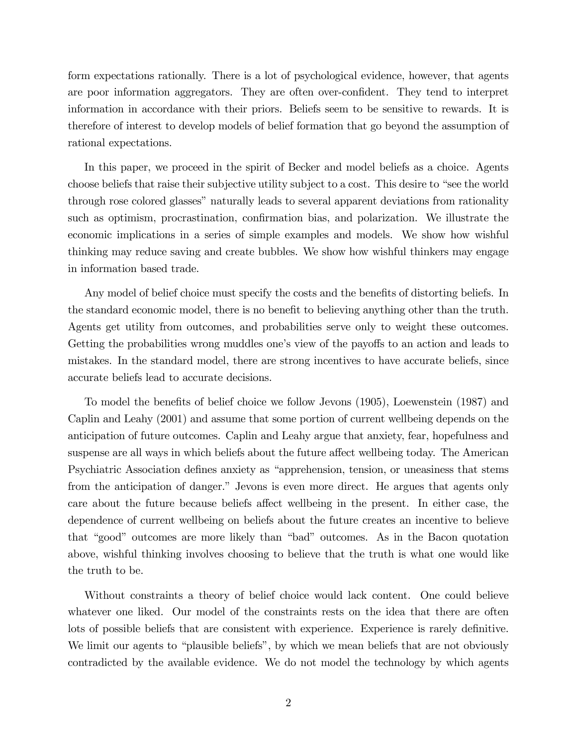form expectations rationally. There is a lot of psychological evidence, however, that agents are poor information aggregators. They are often over-confident. They tend to interpret information in accordance with their priors. Beliefs seem to be sensitive to rewards. It is therefore of interest to develop models of belief formation that go beyond the assumption of rational expectations.

In this paper, we proceed in the spirit of Becker and model beliefs as a choice. Agents choose beliefs that raise their subjective utility subject to a cost. This desire to "see the world" through rose colored glasses" naturally leads to several apparent deviations from rationality such as optimism, procrastination, confirmation bias, and polarization. We illustrate the economic implications in a series of simple examples and models. We show how wishful thinking may reduce saving and create bubbles. We show how wishful thinkers may engage in information based trade.

Any model of belief choice must specify the costs and the benefits of distorting beliefs. In the standard economic model, there is no benefit to believing anything other than the truth. Agents get utility from outcomes, and probabilities serve only to weight these outcomes. Getting the probabilities wrong muddles one's view of the payoffs to an action and leads to mistakes. In the standard model, there are strong incentives to have accurate beliefs, since accurate beliefs lead to accurate decisions.

To model the benefits of belief choice we follow Jevons (1905), Loewenstein (1987) and Caplin and Leahy (2001) and assume that some portion of current wellbeing depends on the anticipation of future outcomes. Caplin and Leahy argue that anxiety, fear, hopefulness and suspense are all ways in which beliefs about the future affect wellbeing today. The American Psychiatric Association defines anxiety as "apprehension, tension, or uneasiness that stems from the anticipation of danger." Jevons is even more direct. He argues that agents only care about the future because beliefs affect wellbeing in the present. In either case, the dependence of current wellbeing on beliefs about the future creates an incentive to believe that "good" outcomes are more likely than "bad" outcomes. As in the Bacon quotation above, wishful thinking involves choosing to believe that the truth is what one would like the truth to be.

Without constraints a theory of belief choice would lack content. One could believe whatever one liked. Our model of the constraints rests on the idea that there are often lots of possible beliefs that are consistent with experience. Experience is rarely definitive. We limit our agents to "plausible beliefs", by which we mean beliefs that are not obviously contradicted by the available evidence. We do not model the technology by which agents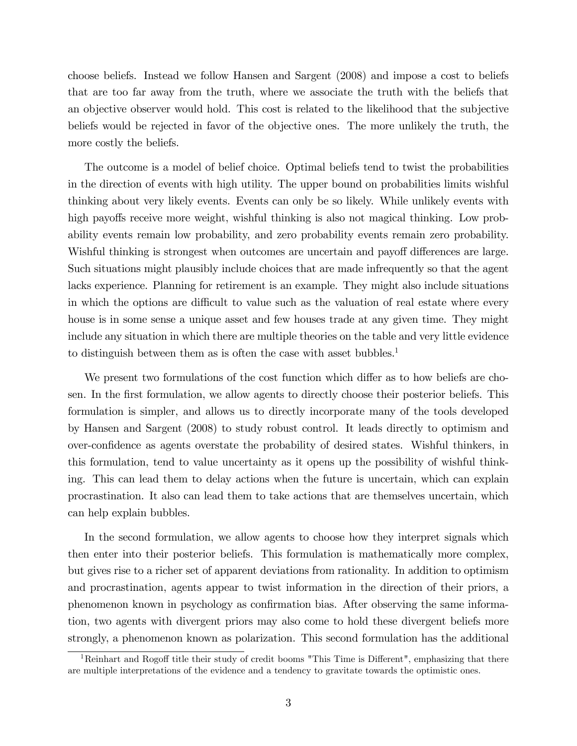choose beliefs. Instead we follow Hansen and Sargent (2008) and impose a cost to beliefs that are too far away from the truth, where we associate the truth with the beliefs that an objective observer would hold. This cost is related to the likelihood that the subjective beliefs would be rejected in favor of the objective ones. The more unlikely the truth, the more costly the beliefs.

The outcome is a model of belief choice. Optimal beliefs tend to twist the probabilities in the direction of events with high utility. The upper bound on probabilities limits wishful thinking about very likely events. Events can only be so likely. While unlikely events with high payoffs receive more weight, wishful thinking is also not magical thinking. Low probability events remain low probability, and zero probability events remain zero probability. Wishful thinking is strongest when outcomes are uncertain and payoff differences are large. Such situations might plausibly include choices that are made infrequently so that the agent lacks experience. Planning for retirement is an example. They might also include situations in which the options are difficult to value such as the valuation of real estate where every house is in some sense a unique asset and few houses trade at any given time. They might include any situation in which there are multiple theories on the table and very little evidence to distinguish between them as is often the case with asset bubbles.<sup>1</sup>

We present two formulations of the cost function which differ as to how beliefs are chosen. In the first formulation, we allow agents to directly choose their posterior beliefs. This formulation is simpler, and allows us to directly incorporate many of the tools developed by Hansen and Sargent (2008) to study robust control. It leads directly to optimism and over-confidence as agents overstate the probability of desired states. Wishful thinkers, in this formulation, tend to value uncertainty as it opens up the possibility of wishful thinking. This can lead them to delay actions when the future is uncertain, which can explain procrastination. It also can lead them to take actions that are themselves uncertain, which can help explain bubbles.

In the second formulation, we allow agents to choose how they interpret signals which then enter into their posterior beliefs. This formulation is mathematically more complex, but gives rise to a richer set of apparent deviations from rationality. In addition to optimism and procrastination, agents appear to twist information in the direction of their priors, a phenomenon known in psychology as confirmation bias. After observing the same information, two agents with divergent priors may also come to hold these divergent beliefs more strongly, a phenomenon known as polarization. This second formulation has the additional

 $1$ Reinhart and Rogoff title their study of credit booms "This Time is Different", emphasizing that there are multiple interpretations of the evidence and a tendency to gravitate towards the optimistic ones.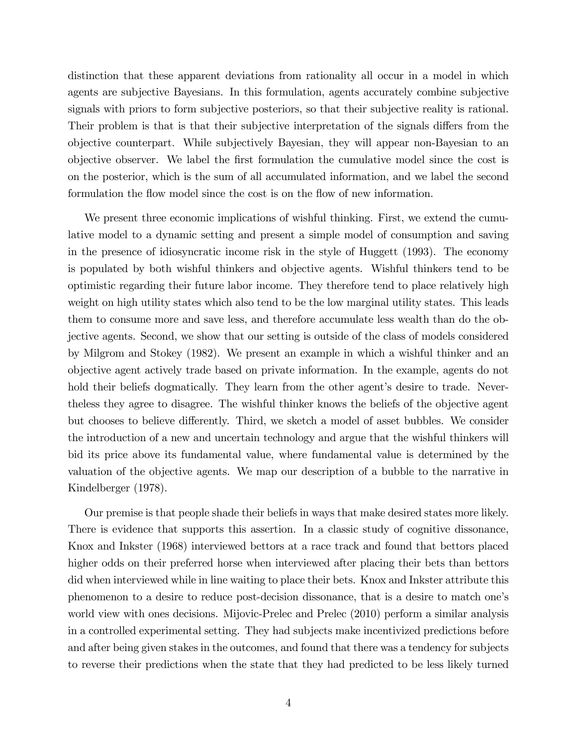distinction that these apparent deviations from rationality all occur in a model in which agents are subjective Bayesians. In this formulation, agents accurately combine subjective signals with priors to form subjective posteriors, so that their subjective reality is rational. Their problem is that is that their subjective interpretation of the signals differs from the objective counterpart. While subjectively Bayesian, they will appear non-Bayesian to an objective observer. We label the first formulation the cumulative model since the cost is on the posterior, which is the sum of all accumulated information, and we label the second formulation the flow model since the cost is on the flow of new information.

We present three economic implications of wishful thinking. First, we extend the cumulative model to a dynamic setting and present a simple model of consumption and saving in the presence of idiosyncratic income risk in the style of Huggett (1993). The economy is populated by both wishful thinkers and objective agents. Wishful thinkers tend to be optimistic regarding their future labor income. They therefore tend to place relatively high weight on high utility states which also tend to be the low marginal utility states. This leads them to consume more and save less, and therefore accumulate less wealth than do the objective agents. Second, we show that our setting is outside of the class of models considered by Milgrom and Stokey (1982). We present an example in which a wishful thinker and an objective agent actively trade based on private information. In the example, agents do not hold their beliefs dogmatically. They learn from the other agent's desire to trade. Nevertheless they agree to disagree. The wishful thinker knows the beliefs of the objective agent but chooses to believe differently. Third, we sketch a model of asset bubbles. We consider the introduction of a new and uncertain technology and argue that the wishful thinkers will bid its price above its fundamental value, where fundamental value is determined by the valuation of the objective agents. We map our description of a bubble to the narrative in Kindelberger (1978).

Our premise is that people shade their beliefs in ways that make desired states more likely. There is evidence that supports this assertion. In a classic study of cognitive dissonance, Knox and Inkster (1968) interviewed bettors at a race track and found that bettors placed higher odds on their preferred horse when interviewed after placing their bets than bettors did when interviewed while in line waiting to place their bets. Knox and Inkster attribute this phenomenon to a desire to reduce post-decision dissonance, that is a desire to match oneís world view with ones decisions. Mijovic-Prelec and Prelec (2010) perform a similar analysis in a controlled experimental setting. They had subjects make incentivized predictions before and after being given stakes in the outcomes, and found that there was a tendency for subjects to reverse their predictions when the state that they had predicted to be less likely turned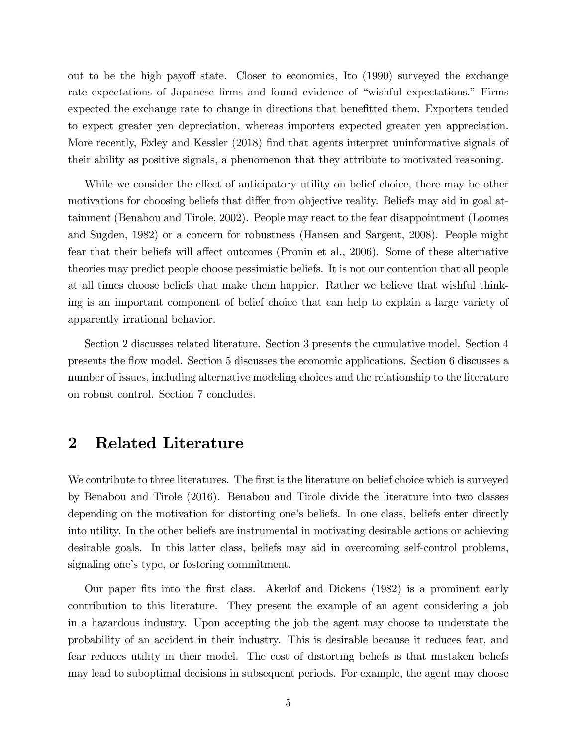out to be the high payoff state. Closer to economics, Ito (1990) surveyed the exchange rate expectations of Japanese firms and found evidence of "wishful expectations." Firms expected the exchange rate to change in directions that benefitted them. Exporters tended to expect greater yen depreciation, whereas importers expected greater yen appreciation. More recently, Exley and Kessler (2018) find that agents interpret uninformative signals of their ability as positive signals, a phenomenon that they attribute to motivated reasoning.

While we consider the effect of anticipatory utility on belief choice, there may be other motivations for choosing beliefs that differ from objective reality. Beliefs may aid in goal attainment (Benabou and Tirole, 2002). People may react to the fear disappointment (Loomes and Sugden, 1982) or a concern for robustness (Hansen and Sargent, 2008). People might fear that their beliefs will affect outcomes (Pronin et al., 2006). Some of these alternative theories may predict people choose pessimistic beliefs. It is not our contention that all people at all times choose beliefs that make them happier. Rather we believe that wishful thinking is an important component of belief choice that can help to explain a large variety of apparently irrational behavior.

Section 2 discusses related literature. Section 3 presents the cumulative model. Section 4 presents the áow model. Section 5 discusses the economic applications. Section 6 discusses a number of issues, including alternative modeling choices and the relationship to the literature on robust control. Section 7 concludes.

## 2 Related Literature

We contribute to three literatures. The first is the literature on belief choice which is surveyed by Benabou and Tirole (2016). Benabou and Tirole divide the literature into two classes depending on the motivation for distorting one's beliefs. In one class, beliefs enter directly into utility. In the other beliefs are instrumental in motivating desirable actions or achieving desirable goals. In this latter class, beliefs may aid in overcoming self-control problems, signaling one's type, or fostering commitment.

Our paper Öts into the Örst class. Akerlof and Dickens (1982) is a prominent early contribution to this literature. They present the example of an agent considering a job in a hazardous industry. Upon accepting the job the agent may choose to understate the probability of an accident in their industry. This is desirable because it reduces fear, and fear reduces utility in their model. The cost of distorting beliefs is that mistaken beliefs may lead to suboptimal decisions in subsequent periods. For example, the agent may choose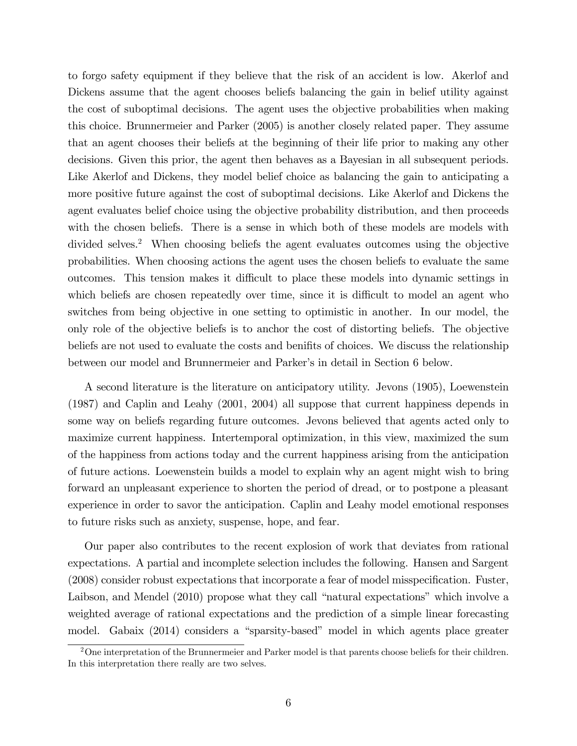to forgo safety equipment if they believe that the risk of an accident is low. Akerlof and Dickens assume that the agent chooses beliefs balancing the gain in belief utility against the cost of suboptimal decisions. The agent uses the objective probabilities when making this choice. Brunnermeier and Parker (2005) is another closely related paper. They assume that an agent chooses their beliefs at the beginning of their life prior to making any other decisions. Given this prior, the agent then behaves as a Bayesian in all subsequent periods. Like Akerlof and Dickens, they model belief choice as balancing the gain to anticipating a more positive future against the cost of suboptimal decisions. Like Akerlof and Dickens the agent evaluates belief choice using the objective probability distribution, and then proceeds with the chosen beliefs. There is a sense in which both of these models are models with divided selves.<sup>2</sup> When choosing beliefs the agent evaluates outcomes using the objective probabilities. When choosing actions the agent uses the chosen beliefs to evaluate the same outcomes. This tension makes it difficult to place these models into dynamic settings in which beliefs are chosen repeatedly over time, since it is difficult to model an agent who switches from being objective in one setting to optimistic in another. In our model, the only role of the objective beliefs is to anchor the cost of distorting beliefs. The objective beliefs are not used to evaluate the costs and benifits of choices. We discuss the relationship between our model and Brunnermeier and Parker's in detail in Section 6 below.

A second literature is the literature on anticipatory utility. Jevons (1905), Loewenstein (1987) and Caplin and Leahy (2001, 2004) all suppose that current happiness depends in some way on beliefs regarding future outcomes. Jevons believed that agents acted only to maximize current happiness. Intertemporal optimization, in this view, maximized the sum of the happiness from actions today and the current happiness arising from the anticipation of future actions. Loewenstein builds a model to explain why an agent might wish to bring forward an unpleasant experience to shorten the period of dread, or to postpone a pleasant experience in order to savor the anticipation. Caplin and Leahy model emotional responses to future risks such as anxiety, suspense, hope, and fear.

Our paper also contributes to the recent explosion of work that deviates from rational expectations. A partial and incomplete selection includes the following. Hansen and Sargent  $(2008)$  consider robust expectations that incorporate a fear of model misspecification. Fuster, Laibson, and Mendel (2010) propose what they call "natural expectations" which involve a weighted average of rational expectations and the prediction of a simple linear forecasting model. Gabaix (2014) considers a "sparsity-based" model in which agents place greater

 $2$ One interpretation of the Brunnermeier and Parker model is that parents choose beliefs for their children. In this interpretation there really are two selves.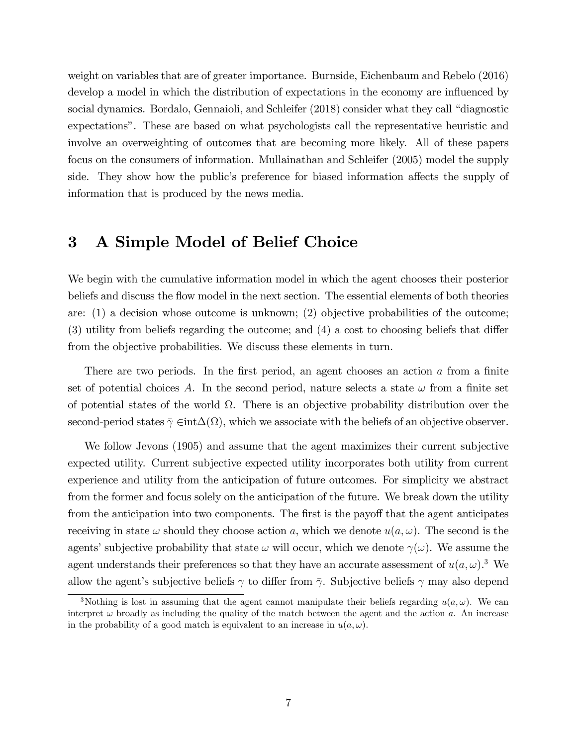weight on variables that are of greater importance. Burnside, Eichenbaum and Rebelo (2016) develop a model in which the distribution of expectations in the economy are influenced by social dynamics. Bordalo, Gennaioli, and Schleifer (2018) consider what they call "diagnostic expectationsî. These are based on what psychologists call the representative heuristic and involve an overweighting of outcomes that are becoming more likely. All of these papers focus on the consumers of information. Mullainathan and Schleifer (2005) model the supply side. They show how the public's preference for biased information affects the supply of information that is produced by the news media.

### 3 A Simple Model of Belief Choice

We begin with the cumulative information model in which the agent chooses their posterior beliefs and discuss the flow model in the next section. The essential elements of both theories are: (1) a decision whose outcome is unknown; (2) objective probabilities of the outcome;  $(3)$  utility from beliefs regarding the outcome; and  $(4)$  a cost to choosing beliefs that differ from the objective probabilities. We discuss these elements in turn.

There are two periods. In the first period, an agent chooses an action  $\alpha$  from a finite set of potential choices A. In the second period, nature selects a state  $\omega$  from a finite set of potential states of the world  $\Omega$ . There is an objective probability distribution over the second-period states  $\bar{\gamma} \in \text{int}\Delta(\Omega)$ , which we associate with the beliefs of an objective observer.

We follow Jevons (1905) and assume that the agent maximizes their current subjective expected utility. Current subjective expected utility incorporates both utility from current experience and utility from the anticipation of future outcomes. For simplicity we abstract from the former and focus solely on the anticipation of the future. We break down the utility from the anticipation into two components. The first is the payoff that the agent anticipates receiving in state  $\omega$  should they choose action a, which we denote  $u(a, \omega)$ . The second is the agents' subjective probability that state  $\omega$  will occur, which we denote  $\gamma(\omega)$ . We assume the agent understands their preferences so that they have an accurate assessment of  $u(a,\omega)$ .<sup>3</sup> We allow the agent's subjective beliefs  $\gamma$  to differ from  $\bar{\gamma}$ . Subjective beliefs  $\gamma$  may also depend

<sup>&</sup>lt;sup>3</sup>Nothing is lost in assuming that the agent cannot manipulate their beliefs regarding  $u(a, \omega)$ . We can interpret  $\omega$  broadly as including the quality of the match between the agent and the action a. An increase in the probability of a good match is equivalent to an increase in  $u(a, \omega)$ .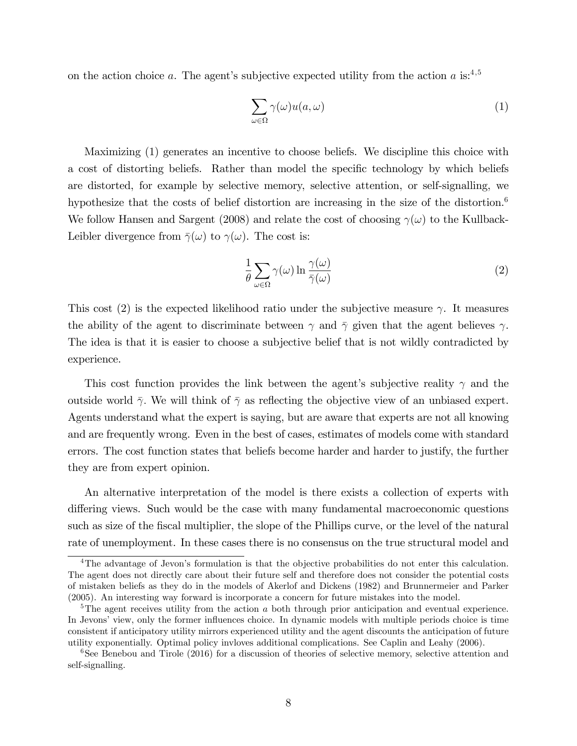on the action choice a. The agent's subjective expected utility from the action a is:<sup>4,5</sup>

$$
\sum_{\omega \in \Omega} \gamma(\omega) u(a, \omega) \tag{1}
$$

Maximizing (1) generates an incentive to choose beliefs. We discipline this choice with a cost of distorting beliefs. Rather than model the specific technology by which beliefs are distorted, for example by selective memory, selective attention, or self-signalling, we hypothesize that the costs of belief distortion are increasing in the size of the distortion.<sup>6</sup> We follow Hansen and Sargent (2008) and relate the cost of choosing  $\gamma(\omega)$  to the Kullback-Leibler divergence from  $\bar{\gamma}(\omega)$  to  $\gamma(\omega)$ . The cost is:

$$
\frac{1}{\theta} \sum_{\omega \in \Omega} \gamma(\omega) \ln \frac{\gamma(\omega)}{\bar{\gamma}(\omega)} \tag{2}
$$

This cost (2) is the expected likelihood ratio under the subjective measure  $\gamma$ . It measures the ability of the agent to discriminate between  $\gamma$  and  $\bar{\gamma}$  given that the agent believes  $\gamma$ . The idea is that it is easier to choose a subjective belief that is not wildly contradicted by experience.

This cost function provides the link between the agent's subjective reality  $\gamma$  and the outside world  $\bar{\gamma}$ . We will think of  $\bar{\gamma}$  as reflecting the objective view of an unbiased expert. Agents understand what the expert is saying, but are aware that experts are not all knowing and are frequently wrong. Even in the best of cases, estimates of models come with standard errors. The cost function states that beliefs become harder and harder to justify, the further they are from expert opinion.

An alternative interpretation of the model is there exists a collection of experts with differing views. Such would be the case with many fundamental macroeconomic questions such as size of the fiscal multiplier, the slope of the Phillips curve, or the level of the natural rate of unemployment. In these cases there is no consensus on the true structural model and

<sup>&</sup>lt;sup>4</sup>The advantage of Jevon's formulation is that the objective probabilities do not enter this calculation. The agent does not directly care about their future self and therefore does not consider the potential costs of mistaken beliefs as they do in the models of Akerlof and Dickens (1982) and Brunnermeier and Parker (2005). An interesting way forward is incorporate a concern for future mistakes into the model.

<sup>&</sup>lt;sup>5</sup>The agent receives utility from the action a both through prior anticipation and eventual experience. In Jevons' view, only the former influences choice. In dynamic models with multiple periods choice is time consistent if anticipatory utility mirrors experienced utility and the agent discounts the anticipation of future utility exponentially. Optimal policy invloves additional complications. See Caplin and Leahy (2006).

<sup>&</sup>lt;sup>6</sup>See Benebou and Tirole (2016) for a discussion of theories of selective memory, selective attention and self-signalling.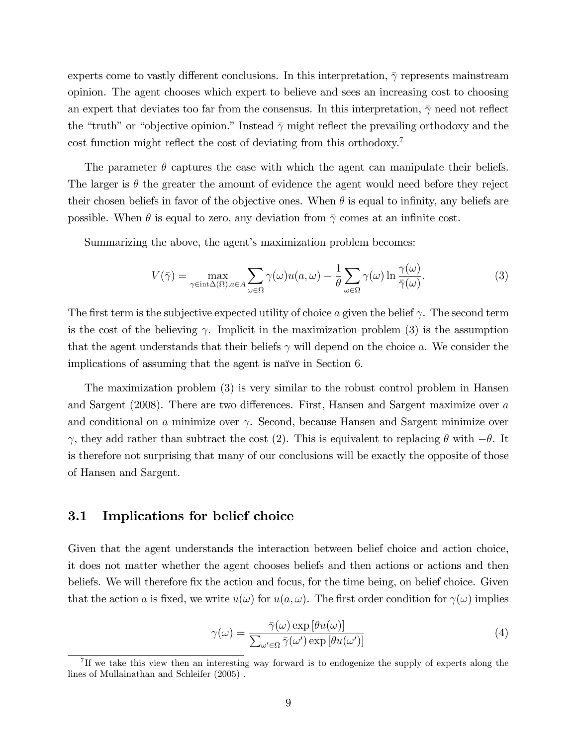experts come to vastly different conclusions. In this interpretation,  $\bar{\gamma}$  represents mainstream opinion. The agent chooses which expert to believe and sees an increasing cost to choosing an expert that deviates too far from the consensus. In this interpretation,  $\bar{\gamma}$  need not reflect the "truth" or "objective opinion." Instead  $\bar{\gamma}$  might reflect the prevailing orthodoxy and the cost function might reflect the cost of deviating from this orthodoxy.<sup>7</sup>

The parameter  $\theta$  captures the ease with which the agent can manipulate their beliefs. The larger is  $\theta$  the greater the amount of evidence the agent would need before they reject their chosen beliefs in favor of the objective ones. When  $\theta$  is equal to infinity, any beliefs are possible. When  $\theta$  is equal to zero, any deviation from  $\bar{\gamma}$  comes at an infinite cost.

Summarizing the above, the agent's maximization problem becomes:

$$
V(\bar{\gamma}) = \max_{\gamma \in \text{int}\Delta(\Omega), a \in A} \sum_{\omega \in \Omega} \gamma(\omega) u(a, \omega) - \frac{1}{\theta} \sum_{\omega \in \Omega} \gamma(\omega) \ln \frac{\gamma(\omega)}{\bar{\gamma}(\omega)}.
$$
 (3)

The first term is the subjective expected utility of choice a given the belief  $\gamma$ . The second term is the cost of the believing  $\gamma$ . Implicit in the maximization problem (3) is the assumption that the agent understands that their beliefs  $\gamma$  will depend on the choice a. We consider the implications of assuming that the agent is naïve in Section 6.

The maximization problem (3) is very similar to the robust control problem in Hansen and Sargent (2008). There are two differences. First, Hansen and Sargent maximize over  $a$ and conditional on a minimize over  $\gamma$ . Second, because Hansen and Sargent minimize over  $\gamma$ , they add rather than subtract the cost (2). This is equivalent to replacing  $\theta$  with  $-\theta$ . It is therefore not surprising that many of our conclusions will be exactly the opposite of those of Hansen and Sargent.

#### 3.1 Implications for belief choice

Given that the agent understands the interaction between belief choice and action choice, it does not matter whether the agent chooses beliefs and then actions or actions and then beliefs. We will therefore fix the action and focus, for the time being, on belief choice. Given that the action a is fixed, we write  $u(\omega)$  for  $u(a, \omega)$ . The first order condition for  $\gamma(\omega)$  implies

$$
\gamma(\omega) = \frac{\bar{\gamma}(\omega) \exp\left[\theta u(\omega)\right]}{\sum_{\omega' \in \Omega} \bar{\gamma}(\omega') \exp\left[\theta u(\omega')\right]}
$$
(4)

<sup>&</sup>lt;sup>7</sup>If we take this view then an interesting way forward is to endogenize the supply of experts along the lines of Mullainathan and Schleifer (2005) .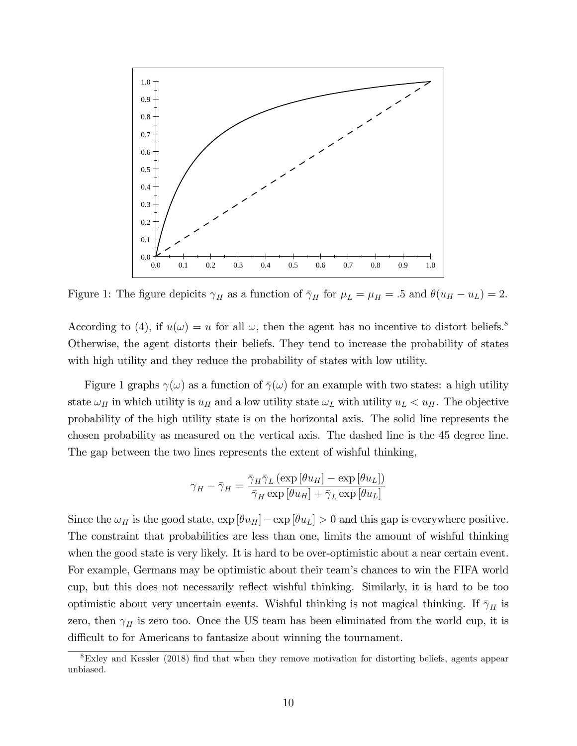

Figure 1: The figure depicits  $\gamma_H$  as a function of  $\bar{\gamma}_H$  for  $\mu_L = \mu_H = .5$  and  $\theta(u_H - u_L) = 2$ .

According to (4), if  $u(\omega) = u$  for all  $\omega$ , then the agent has no incentive to distort beliefs.<sup>8</sup> Otherwise, the agent distorts their beliefs. They tend to increase the probability of states with high utility and they reduce the probability of states with low utility.

Figure 1 graphs  $\gamma(\omega)$  as a function of  $\bar{\gamma}(\omega)$  for an example with two states: a high utility state  $\omega_H$  in which utility is  $u_H$  and a low utility state  $\omega_L$  with utility  $u_L < u_H$ . The objective probability of the high utility state is on the horizontal axis. The solid line represents the chosen probability as measured on the vertical axis. The dashed line is the 45 degree line. The gap between the two lines represents the extent of wishful thinking,

$$
\gamma_H - \bar{\gamma}_H = \frac{\bar{\gamma}_H \bar{\gamma}_L (\exp[\theta u_H] - \exp[\theta u_L])}{\bar{\gamma}_H \exp[\theta u_H] + \bar{\gamma}_L \exp[\theta u_L]}
$$

Since the  $\omega_H$  is the good state,  $\exp[\theta u_H]-\exp[\theta u_L] > 0$  and this gap is everywhere positive. The constraint that probabilities are less than one, limits the amount of wishful thinking when the good state is very likely. It is hard to be over-optimistic about a near certain event. For example, Germans may be optimistic about their team's chances to win the FIFA world cup, but this does not necessarily reflect wishful thinking. Similarly, it is hard to be too optimistic about very uncertain events. Wishful thinking is not magical thinking. If  $\bar{\gamma}_H$  is zero, then  $\gamma_H$  is zero too. Once the US team has been eliminated from the world cup, it is difficult to for Americans to fantasize about winning the tournament.

 $8$ Exley and Kessler (2018) find that when they remove motivation for distorting beliefs, agents appear unbiased.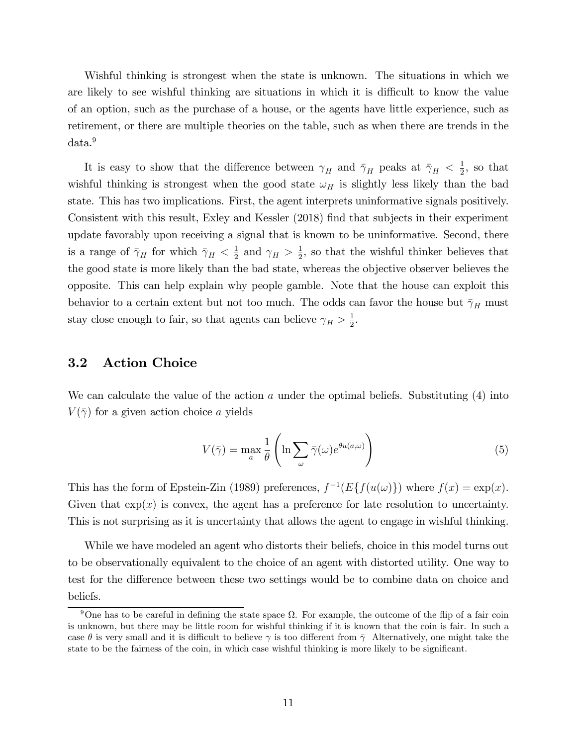Wishful thinking is strongest when the state is unknown. The situations in which we are likely to see wishful thinking are situations in which it is difficult to know the value of an option, such as the purchase of a house, or the agents have little experience, such as retirement, or there are multiple theories on the table, such as when there are trends in the data.<sup>9</sup>

It is easy to show that the difference between  $\gamma_H$  and  $\bar{\gamma}_H$  peaks at  $\bar{\gamma}_H < \frac{1}{2}$  $\frac{1}{2}$ , so that wishful thinking is strongest when the good state  $\omega_H$  is slightly less likely than the bad state. This has two implications. First, the agent interprets uninformative signals positively. Consistent with this result, Exley and Kessler (2018) Önd that subjects in their experiment update favorably upon receiving a signal that is known to be uninformative. Second, there is a range of  $\bar{\gamma}_H$  for which  $\bar{\gamma}_H < \frac{1}{2}$  $\frac{1}{2}$  and  $\gamma_H > \frac{1}{2}$  $\frac{1}{2}$ , so that the wishful thinker believes that the good state is more likely than the bad state, whereas the objective observer believes the opposite. This can help explain why people gamble. Note that the house can exploit this behavior to a certain extent but not too much. The odds can favor the house but  $\bar{\gamma}_H$  must stay close enough to fair, so that agents can believe  $\gamma_H > \frac{1}{2}$  $\frac{1}{2}$ .

### 3.2 Action Choice

We can calculate the value of the action  $a$  under the optimal beliefs. Substituting  $(4)$  into  $V(\bar{\gamma})$  for a given action choice a yields

$$
V(\bar{\gamma}) = \max_{a} \frac{1}{\theta} \left( \ln \sum_{\omega} \bar{\gamma}(\omega) e^{\theta u(a,\omega)} \right)
$$
 (5)

This has the form of Epstein-Zin (1989) preferences,  $f^{-1}(E{f(u(\omega)})$  where  $f(x) = \exp(x)$ . Given that  $\exp(x)$  is convex, the agent has a preference for late resolution to uncertainty. This is not surprising as it is uncertainty that allows the agent to engage in wishful thinking.

While we have modeled an agent who distorts their beliefs, choice in this model turns out to be observationally equivalent to the choice of an agent with distorted utility. One way to test for the difference between these two settings would be to combine data on choice and beliefs.

<sup>&</sup>lt;sup>9</sup>One has to be careful in defining the state space  $\Omega$ . For example, the outcome of the flip of a fair coin is unknown, but there may be little room for wishful thinking if it is known that the coin is fair. In such a case  $\theta$  is very small and it is difficult to believe  $\gamma$  is too different from  $\bar{\gamma}$  Alternatively, one might take the state to be the fairness of the coin, in which case wishful thinking is more likely to be significant.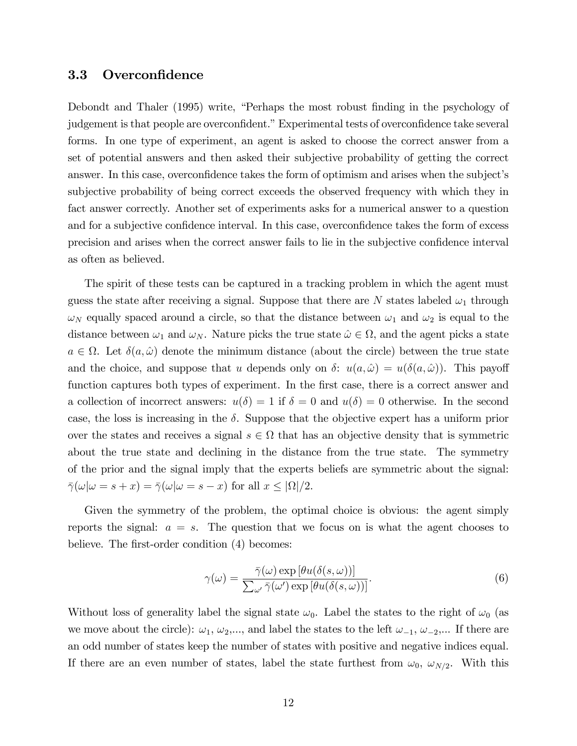#### 3.3 Overconfidence

Debondt and Thaler (1995) write, "Perhaps the most robust finding in the psychology of judgement is that people are overconfident." Experimental tests of overconfidence take several forms. In one type of experiment, an agent is asked to choose the correct answer from a set of potential answers and then asked their subjective probability of getting the correct answer. In this case, overconfidence takes the form of optimism and arises when the subject's subjective probability of being correct exceeds the observed frequency with which they in fact answer correctly. Another set of experiments asks for a numerical answer to a question and for a subjective confidence interval. In this case, overconfidence takes the form of excess precision and arises when the correct answer fails to lie in the subjective confidence interval as often as believed.

The spirit of these tests can be captured in a tracking problem in which the agent must guess the state after receiving a signal. Suppose that there are N states labeled  $\omega_1$  through  $\omega_N$  equally spaced around a circle, so that the distance between  $\omega_1$  and  $\omega_2$  is equal to the distance between  $\omega_1$  and  $\omega_N$ . Nature picks the true state  $\hat{\omega} \in \Omega$ , and the agent picks a state  $a \in \Omega$ . Let  $\delta(a, \hat{\omega})$  denote the minimum distance (about the circle) between the true state and the choice, and suppose that u depends only on  $\delta$ :  $u(a, \hat{\omega}) = u(\delta(a, \hat{\omega}))$ . This payoff function captures both types of experiment. In the first case, there is a correct answer and a collection of incorrect answers:  $u(\delta) = 1$  if  $\delta = 0$  and  $u(\delta) = 0$  otherwise. In the second case, the loss is increasing in the  $\delta$ . Suppose that the objective expert has a uniform prior over the states and receives a signal  $s \in \Omega$  that has an objective density that is symmetric about the true state and declining in the distance from the true state. The symmetry of the prior and the signal imply that the experts beliefs are symmetric about the signal:  $\bar{\gamma}(\omega|\omega = s + x) = \bar{\gamma}(\omega|\omega = s - x)$  for all  $x \leq |\Omega|/2$ .

Given the symmetry of the problem, the optimal choice is obvious: the agent simply reports the signal:  $a = s$ . The question that we focus on is what the agent chooses to believe. The first-order condition (4) becomes:

$$
\gamma(\omega) = \frac{\bar{\gamma}(\omega) \exp \left[\theta u(\delta(s, \omega))\right]}{\sum_{\omega'} \bar{\gamma}(\omega') \exp \left[\theta u(\delta(s, \omega))\right]}.
$$
\n(6)

Without loss of generality label the signal state  $\omega_0$ . Label the states to the right of  $\omega_0$  (as we move about the circle):  $\omega_1, \omega_2, \ldots$ , and label the states to the left  $\omega_{-1}, \omega_{-2}, \ldots$  If there are an odd number of states keep the number of states with positive and negative indices equal. If there are an even number of states, label the state furthest from  $\omega_0$ ,  $\omega_{N/2}$ . With this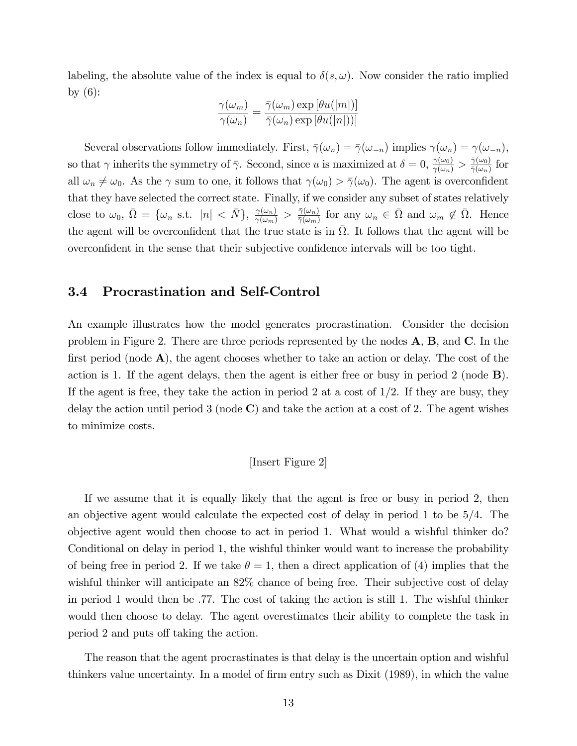labeling, the absolute value of the index is equal to  $\delta(s, \omega)$ . Now consider the ratio implied by  $(6)$ :

$$
\frac{\gamma(\omega_m)}{\gamma(\omega_n)} = \frac{\bar{\gamma}(\omega_m) \exp \left[\theta u(|m|)\right]}{\bar{\gamma}(\omega_n) \exp \left[\theta u(|n|)\right]}
$$

Several observations follow immediately. First,  $\overline{\gamma}(\omega_n) = \overline{\gamma}(\omega_{-n})$  implies  $\gamma(\omega_n) = \gamma(\omega_{-n}),$ so that  $\gamma$  inherits the symmetry of  $\bar{\gamma}$ . Second, since u is maximized at  $\delta = 0$ ,  $\frac{\gamma(\omega_0)}{\gamma(\omega_n)} > \frac{\bar{\gamma}(\omega_0)}{\bar{\gamma}(\omega_n)}$  $\frac{\gamma(\omega_0)}{\bar{\gamma}(\omega_n)}$  for all  $\omega_n \neq \omega_0$ . As the  $\gamma$  sum to one, it follows that  $\gamma(\omega_0) > \overline{\gamma}(\omega_0)$ . The agent is overconfident that they have selected the correct state. Finally, if we consider any subset of states relatively close to  $\omega_0$ ,  $\bar{\Omega} = \{\omega_n \text{ s.t. } |n| < \bar{N}\}, \frac{\gamma(\omega_n)}{\gamma(\omega_m)} > \frac{\bar{\gamma}(\omega_n)}{\bar{\gamma}(\omega_m)}$  $\frac{\bar{\gamma}(\omega_n)}{\bar{\gamma}(\omega_m)}$  for any  $\omega_n \in \bar{\Omega}$  and  $\omega_m \notin \bar{\Omega}$ . Hence the agent will be overconfident that the true state is in  $\overline{\Omega}$ . It follows that the agent will be overconfident in the sense that their subjective confidence intervals will be too tight.

### 3.4 Procrastination and Self-Control

An example illustrates how the model generates procrastination. Consider the decision problem in Figure 2. There are three periods represented by the nodes A, B, and C. In the first period (node  $\bf{A}$ ), the agent chooses whether to take an action or delay. The cost of the action is 1. If the agent delays, then the agent is either free or busy in period 2 (node B). If the agent is free, they take the action in period 2 at a cost of  $1/2$ . If they are busy, they delay the action until period 3 (node  $\bf{C}$ ) and take the action at a cost of 2. The agent wishes to minimize costs.

#### [Insert Figure 2]

If we assume that it is equally likely that the agent is free or busy in period 2, then an objective agent would calculate the expected cost of delay in period 1 to be 5/4. The objective agent would then choose to act in period 1. What would a wishful thinker do? Conditional on delay in period 1, the wishful thinker would want to increase the probability of being free in period 2. If we take  $\theta = 1$ , then a direct application of (4) implies that the wishful thinker will anticipate an 82% chance of being free. Their subjective cost of delay in period 1 would then be .77. The cost of taking the action is still 1. The wishful thinker would then choose to delay. The agent overestimates their ability to complete the task in period 2 and puts of taking the action.

The reason that the agent procrastinates is that delay is the uncertain option and wishful thinkers value uncertainty. In a model of firm entry such as Dixit (1989), in which the value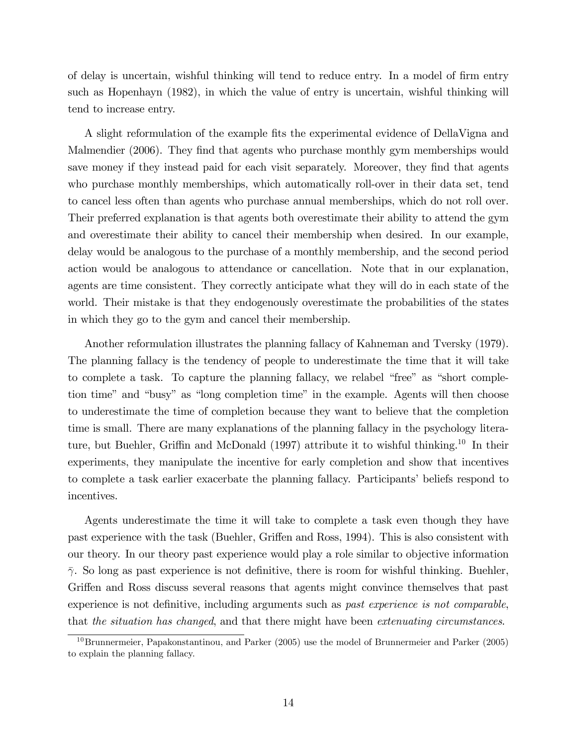of delay is uncertain, wishful thinking will tend to reduce entry. In a model of Örm entry such as Hopenhayn (1982), in which the value of entry is uncertain, wishful thinking will tend to increase entry.

A slight reformulation of the example fits the experimental evidence of DellaVigna and Malmendier (2006). They find that agents who purchase monthly gym memberships would save money if they instead paid for each visit separately. Moreover, they find that agents who purchase monthly memberships, which automatically roll-over in their data set, tend to cancel less often than agents who purchase annual memberships, which do not roll over. Their preferred explanation is that agents both overestimate their ability to attend the gym and overestimate their ability to cancel their membership when desired. In our example, delay would be analogous to the purchase of a monthly membership, and the second period action would be analogous to attendance or cancellation. Note that in our explanation, agents are time consistent. They correctly anticipate what they will do in each state of the world. Their mistake is that they endogenously overestimate the probabilities of the states in which they go to the gym and cancel their membership.

Another reformulation illustrates the planning fallacy of Kahneman and Tversky (1979). The planning fallacy is the tendency of people to underestimate the time that it will take to complete a task. To capture the planning fallacy, we relabel "free" as "short completion time" and "busy" as "long completion time" in the example. Agents will then choose to underestimate the time of completion because they want to believe that the completion time is small. There are many explanations of the planning fallacy in the psychology literature, but Buehler, Griffin and McDonald (1997) attribute it to wishful thinking.<sup>10</sup> In their experiments, they manipulate the incentive for early completion and show that incentives to complete a task earlier exacerbate the planning fallacy. Participants' beliefs respond to incentives.

Agents underestimate the time it will take to complete a task even though they have past experience with the task (Buehler, Griffen and Ross, 1994). This is also consistent with our theory. In our theory past experience would play a role similar to objective information  $\bar{\gamma}$ . So long as past experience is not definitive, there is room for wishful thinking. Buehler, Griffen and Ross discuss several reasons that agents might convince themselves that past experience is not definitive, including arguments such as *past experience is not comparable*, that the situation has changed, and that there might have been extenuating circumstances.

 $^{10}$ Brunnermeier, Papakonstantinou, and Parker (2005) use the model of Brunnermeier and Parker (2005) to explain the planning fallacy.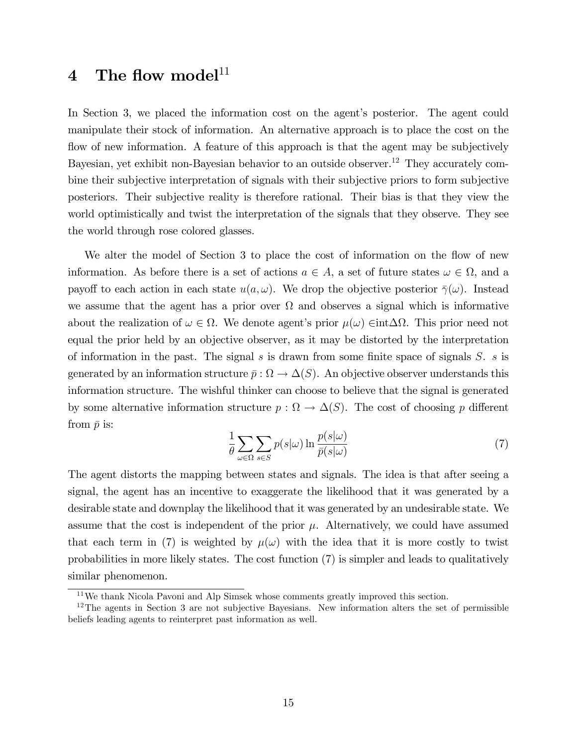# 4 The flow model $11$

In Section 3, we placed the information cost on the agent's posterior. The agent could manipulate their stock of information. An alternative approach is to place the cost on the flow of new information. A feature of this approach is that the agent may be subjectively Bayesian, yet exhibit non-Bayesian behavior to an outside observer.<sup>12</sup> They accurately combine their subjective interpretation of signals with their subjective priors to form subjective posteriors. Their subjective reality is therefore rational. Their bias is that they view the world optimistically and twist the interpretation of the signals that they observe. They see the world through rose colored glasses.

We alter the model of Section 3 to place the cost of information on the flow of new information. As before there is a set of actions  $a \in A$ , a set of future states  $\omega \in \Omega$ , and a payoff to each action in each state  $u(a, \omega)$ . We drop the objective posterior  $\bar{\gamma}(\omega)$ . Instead we assume that the agent has a prior over  $\Omega$  and observes a signal which is informative about the realization of  $\omega \in \Omega$ . We denote agent's prior  $\mu(\omega) \in \text{int}\Delta\Omega$ . This prior need not equal the prior held by an objective observer, as it may be distorted by the interpretation of information in the past. The signal  $s$  is drawn from some finite space of signals  $S$ .  $s$  is generated by an information structure  $\bar{p} : \Omega \to \Delta(S)$ . An objective observer understands this information structure. The wishful thinker can choose to believe that the signal is generated by some alternative information structure  $p : \Omega \to \Delta(S)$ . The cost of choosing p different from  $\bar{p}$  is:

$$
\frac{1}{\theta} \sum_{\omega \in \Omega} \sum_{s \in S} p(s|\omega) \ln \frac{p(s|\omega)}{\bar{p}(s|\omega)} \tag{7}
$$

The agent distorts the mapping between states and signals. The idea is that after seeing a signal, the agent has an incentive to exaggerate the likelihood that it was generated by a desirable state and downplay the likelihood that it was generated by an undesirable state. We assume that the cost is independent of the prior  $\mu$ . Alternatively, we could have assumed that each term in (7) is weighted by  $\mu(\omega)$  with the idea that it is more costly to twist probabilities in more likely states. The cost function (7) is simpler and leads to qualitatively similar phenomenon.

<sup>&</sup>lt;sup>11</sup>We thank Nicola Pavoni and Alp Simsek whose comments greatly improved this section.

 $12$ The agents in Section 3 are not subjective Bayesians. New information alters the set of permissible beliefs leading agents to reinterpret past information as well.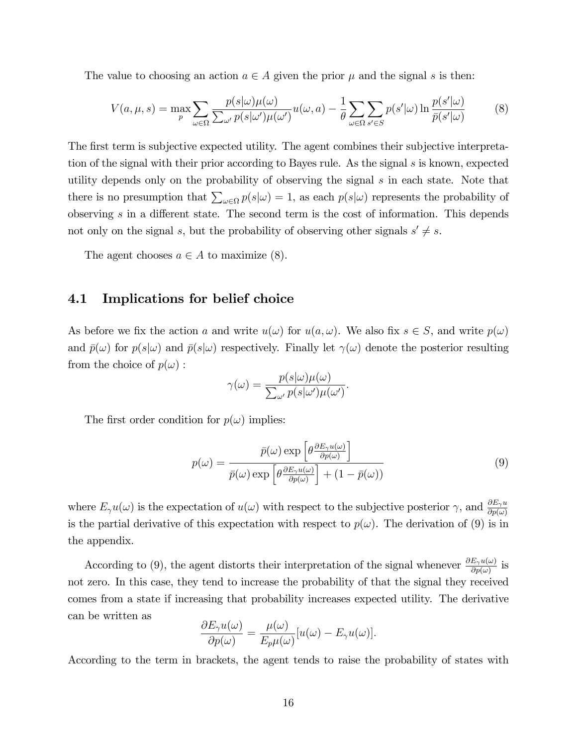The value to choosing an action  $a \in A$  given the prior  $\mu$  and the signal s is then:

$$
V(a,\mu,s) = \max_{p} \sum_{\omega \in \Omega} \frac{p(s|\omega)\mu(\omega)}{\sum_{\omega'} p(s|\omega')\mu(\omega')} u(\omega,a) - \frac{1}{\theta} \sum_{\omega \in \Omega} \sum_{s' \in S} p(s'|\omega) \ln \frac{p(s'|\omega)}{\bar{p}(s'|\omega)} \tag{8}
$$

The first term is subjective expected utility. The agent combines their subjective interpretation of the signal with their prior according to Bayes rule. As the signal  $s$  is known, expected utility depends only on the probability of observing the signal s in each state. Note that there is no presumption that  $\sum_{\omega \in \Omega} p(s|\omega) = 1$ , as each  $p(s|\omega)$  represents the probability of observing  $s$  in a different state. The second term is the cost of information. This depends not only on the signal s, but the probability of observing other signals  $s' \neq s$ .

The agent chooses  $a \in A$  to maximize (8).

#### 4.1 Implications for belief choice

As before we fix the action a and write  $u(\omega)$  for  $u(a, \omega)$ . We also fix  $s \in S$ , and write  $p(\omega)$ and  $\bar{p}(\omega)$  for  $p(s|\omega)$  and  $\bar{p}(s|\omega)$  respectively. Finally let  $\gamma(\omega)$  denote the posterior resulting from the choice of  $p(\omega)$ :

$$
\gamma(\omega) = \frac{p(s|\omega)\mu(\omega)}{\sum_{\omega'} p(s|\omega')\mu(\omega')}.
$$

The first order condition for  $p(\omega)$  implies:

$$
p(\omega) = \frac{\bar{p}(\omega) \exp\left[\theta \frac{\partial E_{\gamma} u(\omega)}{\partial p(\omega)}\right]}{\bar{p}(\omega) \exp\left[\theta \frac{\partial E_{\gamma} u(\omega)}{\partial p(\omega)}\right] + (1 - \bar{p}(\omega))}
$$
(9)

where  $E_{\gamma}u(\omega)$  is the expectation of  $u(\omega)$  with respect to the subjective posterior  $\gamma$ , and  $\frac{\partial E_{\gamma}u}{\partial p(\omega)}$ is the partial derivative of this expectation with respect to  $p(\omega)$ . The derivation of (9) is in the appendix.

According to (9), the agent distorts their interpretation of the signal whenever  $\frac{\partial E_{\gamma}u(\omega)}{\partial p(\omega)}$  is not zero. In this case, they tend to increase the probability of that the signal they received comes from a state if increasing that probability increases expected utility. The derivative can be written as

$$
\frac{\partial E_{\gamma}u(\omega)}{\partial p(\omega)} = \frac{\mu(\omega)}{E_{p}\mu(\omega)}[u(\omega) - E_{\gamma}u(\omega)].
$$

According to the term in brackets, the agent tends to raise the probability of states with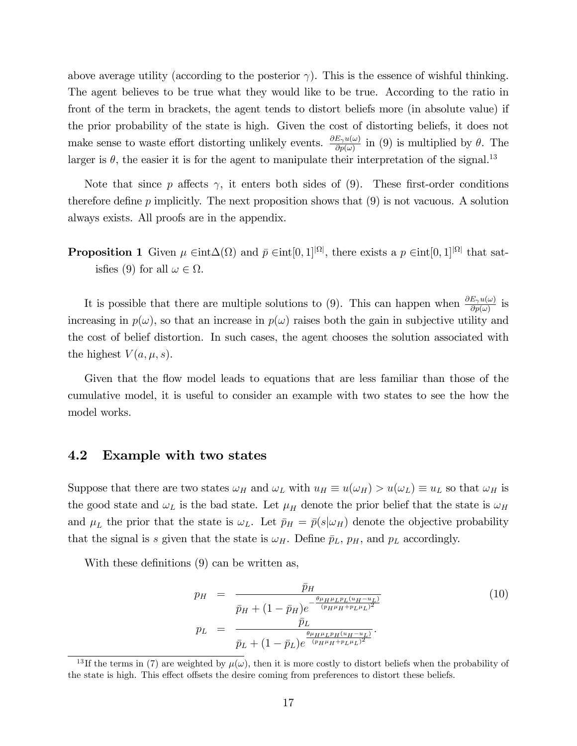above average utility (according to the posterior  $\gamma$ ). This is the essence of wishful thinking. The agent believes to be true what they would like to be true. According to the ratio in front of the term in brackets, the agent tends to distort beliefs more (in absolute value) if the prior probability of the state is high. Given the cost of distorting beliefs, it does not make sense to waste effort distorting unlikely events.  $\frac{\partial E_{\gamma}u(\omega)}{\partial p(\omega)}$  in (9) is multiplied by  $\theta$ . The larger is  $\theta$ , the easier it is for the agent to manipulate their interpretation of the signal.<sup>13</sup>

Note that since  $p$  affects  $\gamma$ , it enters both sides of (9). These first-order conditions therefore define  $p$  implicitly. The next proposition shows that  $(9)$  is not vacuous. A solution always exists. All proofs are in the appendix.

**Proposition 1** Given  $\mu \in \text{int}\Delta(\Omega)$  and  $\bar{p} \in \text{int}[0,1]^{|\Omega|}$ , there exists a  $p \in \text{int}[0,1]^{|\Omega|}$  that satisfies (9) for all  $\omega \in \Omega$ .

It is possible that there are multiple solutions to (9). This can happen when  $\frac{\partial E_\gamma u(\omega)}{\partial p(\omega)}$  is increasing in  $p(\omega)$ , so that an increase in  $p(\omega)$  raises both the gain in subjective utility and the cost of belief distortion. In such cases, the agent chooses the solution associated with the highest  $V(a, \mu, s)$ .

Given that the flow model leads to equations that are less familiar than those of the cumulative model, it is useful to consider an example with two states to see the how the model works.

#### 4.2 Example with two states

Suppose that there are two states  $\omega_H$  and  $\omega_L$  with  $u_H \equiv u(\omega_H) > u(\omega_L) \equiv u_L$  so that  $\omega_H$  is the good state and  $\omega_L$  is the bad state. Let  $\mu_H$  denote the prior belief that the state is  $\omega_H$ and  $\mu_L$  the prior that the state is  $\omega_L$ . Let  $\bar{p}_H = \bar{p}(s|\omega_H)$  denote the objective probability that the signal is s given that the state is  $\omega_H$ . Define  $\bar{p}_L$ ,  $p_H$ , and  $p_L$  accordingly.

With these definitions  $(9)$  can be written as,

$$
p_H = \frac{\bar{p}_H}{\bar{p}_H + (1 - \bar{p}_H)e^{-\frac{\theta \mu_H \mu_L p_L (u_H - u_L)}{(p_H \mu_H + p_L \mu_L)^2}}}
$$
(10)  

$$
p_L = \frac{\bar{p}_L}{\bar{p}_L + (1 - \bar{p}_L)e^{-\frac{\theta \mu_H \mu_L p_H (u_H - u_L)}{(p_H \mu_H + p_L \mu_L)^2}}}.
$$

<sup>&</sup>lt;sup>13</sup>If the terms in (7) are weighted by  $\mu(\omega)$ , then it is more costly to distort beliefs when the probability of the state is high. This effect offsets the desire coming from preferences to distort these beliefs.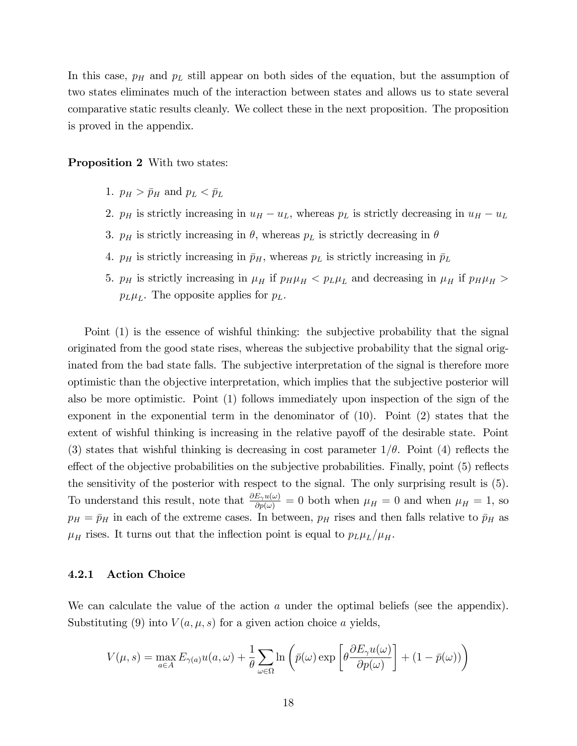In this case,  $p_H$  and  $p_L$  still appear on both sides of the equation, but the assumption of two states eliminates much of the interaction between states and allows us to state several comparative static results cleanly. We collect these in the next proposition. The proposition is proved in the appendix.

Proposition 2 With two states:

- 1.  $p_H > \bar{p}_H$  and  $p_L < \bar{p}_L$
- 2.  $p_H$  is strictly increasing in  $u_H u_L$ , whereas  $p_L$  is strictly decreasing in  $u_H u_L$
- 3.  $p_H$  is strictly increasing in  $\theta$ , whereas  $p_L$  is strictly decreasing in  $\theta$
- 4.  $p_H$  is strictly increasing in  $\bar{p}_H$ , whereas  $p_L$  is strictly increasing in  $\bar{p}_L$
- 5.  $p_H$  is strictly increasing in  $\mu_H$  if  $p_H \mu_H < p_L \mu_L$  and decreasing in  $\mu_H$  if  $p_H \mu_H >$  $p_L\mu_L$ . The opposite applies for  $p_L$ .

Point (1) is the essence of wishful thinking: the subjective probability that the signal originated from the good state rises, whereas the subjective probability that the signal originated from the bad state falls. The subjective interpretation of the signal is therefore more optimistic than the objective interpretation, which implies that the subjective posterior will also be more optimistic. Point (1) follows immediately upon inspection of the sign of the exponent in the exponential term in the denominator of (10). Point (2) states that the extent of wishful thinking is increasing in the relative payoff of the desirable state. Point (3) states that wishful thinking is decreasing in cost parameter  $1/\theta$ . Point (4) reflects the effect of the objective probabilities on the subjective probabilities. Finally, point  $(5)$  reflects the sensitivity of the posterior with respect to the signal. The only surprising result is (5). To understand this result, note that  $\frac{\partial E_{\gamma}u(\omega)}{\partial p(\omega)}=0$  both when  $\mu_H=0$  and when  $\mu_H=1$ , so  $p_H = \bar{p}_H$  in each of the extreme cases. In between,  $p_H$  rises and then falls relative to  $\bar{p}_H$  as  $\mu_H$  rises. It turns out that the inflection point is equal to  $p_L\mu_L/\mu_H$ .

#### 4.2.1 Action Choice

We can calculate the value of the action  $a$  under the optimal beliefs (see the appendix). Substituting (9) into  $V(a, \mu, s)$  for a given action choice a yields,

$$
V(\mu, s) = \max_{a \in A} E_{\gamma(a)} u(a, \omega) + \frac{1}{\theta} \sum_{\omega \in \Omega} \ln \left( \bar{p}(\omega) \exp \left[ \theta \frac{\partial E_{\gamma} u(\omega)}{\partial p(\omega)} \right] + (1 - \bar{p}(\omega)) \right)
$$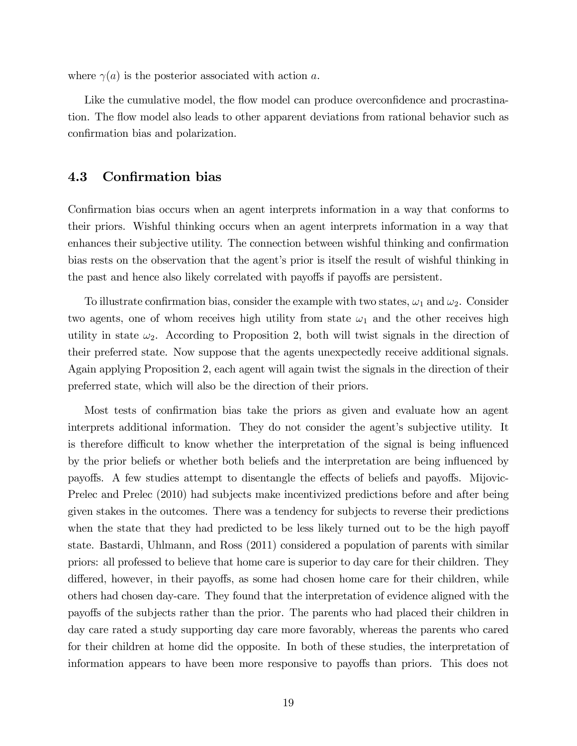where  $\gamma(a)$  is the posterior associated with action a.

Like the cumulative model, the flow model can produce overconfidence and procrastination. The flow model also leads to other apparent deviations from rational behavior such as confirmation bias and polarization.

### 4.3 Confirmation bias

Confirmation bias occurs when an agent interprets information in a way that conforms to their priors. Wishful thinking occurs when an agent interprets information in a way that enhances their subjective utility. The connection between wishful thinking and confirmation bias rests on the observation that the agent's prior is itself the result of wishful thinking in the past and hence also likely correlated with payoffs if payoffs are persistent.

To illustrate confirmation bias, consider the example with two states,  $\omega_1$  and  $\omega_2$ . Consider two agents, one of whom receives high utility from state  $\omega_1$  and the other receives high utility in state  $\omega_2$ . According to Proposition 2, both will twist signals in the direction of their preferred state. Now suppose that the agents unexpectedly receive additional signals. Again applying Proposition 2, each agent will again twist the signals in the direction of their preferred state, which will also be the direction of their priors.

Most tests of confirmation bias take the priors as given and evaluate how an agent interprets additional information. They do not consider the agent's subjective utility. It is therefore difficult to know whether the interpretation of the signal is being influenced by the prior beliefs or whether both beliefs and the interpretation are being influenced by payoffs. A few studies attempt to disentangle the effects of beliefs and payoffs. Mijovic-Prelec and Prelec (2010) had subjects make incentivized predictions before and after being given stakes in the outcomes. There was a tendency for subjects to reverse their predictions when the state that they had predicted to be less likely turned out to be the high payoff state. Bastardi, Uhlmann, and Ross (2011) considered a population of parents with similar priors: all professed to believe that home care is superior to day care for their children. They differed, however, in their payoffs, as some had chosen home care for their children, while others had chosen day-care. They found that the interpretation of evidence aligned with the payoffs of the subjects rather than the prior. The parents who had placed their children in day care rated a study supporting day care more favorably, whereas the parents who cared for their children at home did the opposite. In both of these studies, the interpretation of information appears to have been more responsive to payoffs than priors. This does not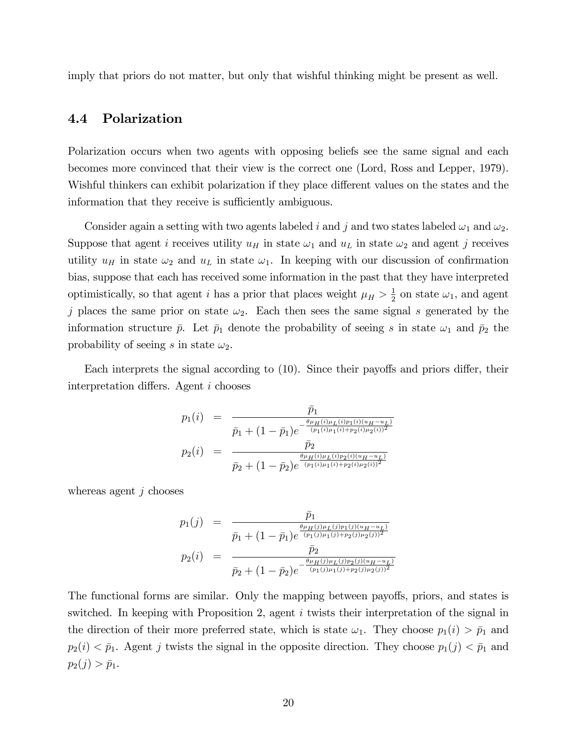imply that priors do not matter, but only that wishful thinking might be present as well.

### 4.4 Polarization

Polarization occurs when two agents with opposing beliefs see the same signal and each becomes more convinced that their view is the correct one (Lord, Ross and Lepper, 1979). Wishful thinkers can exhibit polarization if they place different values on the states and the information that they receive is sufficiently ambiguous.

Consider again a setting with two agents labeled i and j and two states labeled  $\omega_1$  and  $\omega_2$ . Suppose that agent i receives utility  $u_H$  in state  $\omega_1$  and  $u_L$  in state  $\omega_2$  and agent j receives utility  $u_H$  in state  $\omega_2$  and  $u_L$  in state  $\omega_1$ . In keeping with our discussion of confirmation bias, suppose that each has received some information in the past that they have interpreted optimistically, so that agent *i* has a prior that places weight  $\mu_H > \frac{1}{2}$  $\frac{1}{2}$  on state  $\omega_1$ , and agent j places the same prior on state  $\omega_2$ . Each then sees the same signal s generated by the information structure  $\bar{p}$ . Let  $\bar{p}_1$  denote the probability of seeing s in state  $\omega_1$  and  $\bar{p}_2$  the probability of seeing s in state  $\omega_2$ .

Each interprets the signal according to  $(10)$ . Since their payoffs and priors differ, their interpretation differs. Agent  $i$  chooses

$$
p_1(i) = \frac{\bar{p}_1}{\bar{p}_1 + (1 - \bar{p}_1)e^{-\frac{\theta\mu_H(i)\mu_L(i)p_1(i)(u_H - u_L)}{(p_1(i)\mu_1(i) + p_2(i)\mu_2(i))^2}}}
$$

$$
p_2(i) = \frac{\bar{p}_2}{\bar{p}_2 + (1 - \bar{p}_2)e^{\frac{\theta\mu_H(i)\mu_L(i)p_2(i)(u_H - u_L)}{(p_1(i)\mu_1(i) + p_2(i)\mu_2(i))^2}}}
$$

whereas agent  $j$  chooses

$$
p_1(j) = \frac{\bar{p}_1}{\bar{p}_1 + (1 - \bar{p}_1)e^{\frac{\theta \mu_H(j)\mu_L(j)p_1(j)(u_H - u_L)}{(p_1(j)\mu_1(j) + p_2(j)\mu_2(j))^2}}}
$$

$$
p_2(i) = \frac{\bar{p}_2}{\bar{p}_2 + (1 - \bar{p}_2)e^{-\frac{\theta \mu_H(j)\mu_L(j)p_2(j)(u_H - u_L)}{(p_1(j)\mu_1(j) + p_2(j)\mu_2(j))^2}}}
$$

The functional forms are similar. Only the mapping between payoffs, priors, and states is switched. In keeping with Proposition 2, agent i twists their interpretation of the signal in the direction of their more preferred state, which is state  $\omega_1$ . They choose  $p_1(i) > \bar{p}_1$  and  $p_2(i) < \bar{p}_1$ . Agent j twists the signal in the opposite direction. They choose  $p_1(j) < \bar{p}_1$  and  $p_2(j) > \bar{p}_1.$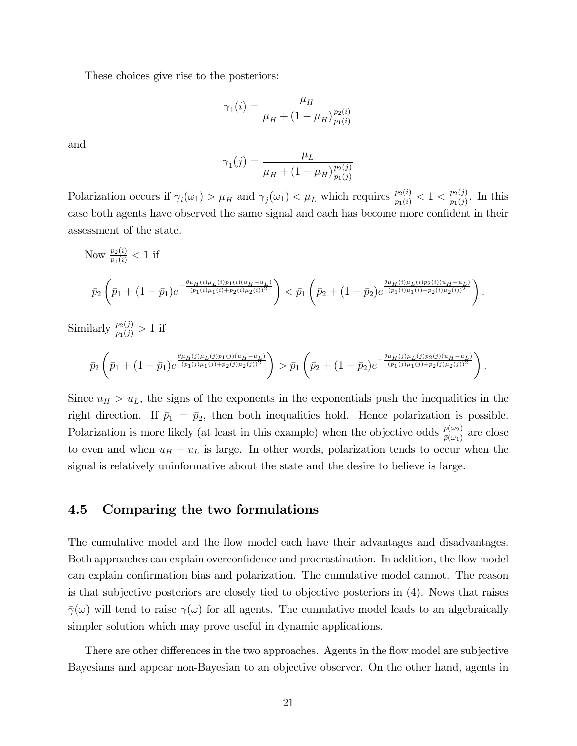These choices give rise to the posteriors:

$$
\gamma_1(i) = \frac{\mu_H}{\mu_H + (1 - \mu_H) \frac{p_2(i)}{p_1(i)}}
$$

and

$$
\gamma_1(j) = \frac{\mu_L}{\mu_H + (1 - \mu_H) \frac{p_2(j)}{p_1(j)}}
$$

Polarization occurs if  $\gamma_i(\omega_1) > \mu_H$  and  $\gamma_j(\omega_1) < \mu_L$  which requires  $\frac{p_2(i)}{p_1(i)} < 1 < \frac{p_2(j)}{p_1(j)}$  $\frac{p_2(j)}{p_1(j)}$ . In this case both agents have observed the same signal and each has become more confident in their assessment of the state.

Now 
$$
\frac{p_2(i)}{p_1(i)} < 1
$$
 if  
\n
$$
\bar{p}_2\left(\bar{p}_1 + (1-\bar{p}_1)e^{-\frac{\theta\mu_H(i)\mu_L(i)p_1(i)(u_H - u_L)}{(p_1(i)\mu_1(i) + p_2(i)\mu_2(i))^2}}\right) < \bar{p}_1\left(\bar{p}_2 + (1-\bar{p}_2)e^{\frac{\theta\mu_H(i)\mu_L(i)p_2(i)(u_H - u_L)}{(p_1(i)\mu_1(i) + p_2(i)\mu_2(i))^2}}\right).
$$

Similarly  $\frac{p_2(j)}{p_1(j)} > 1$  if

$$
\bar{p}_2\left(\bar{p}_1+(1-\bar{p}_1)e^{\frac{\theta\mu_H(j)\mu_L(j)p_1(j)(u_H-u_L)}{(p_1(j)\mu_1(j)+p_2(j)\mu_2(j))^2}}\right)>\bar{p}_1\left(\bar{p}_2+(1-\bar{p}_2)e^{-\frac{\theta\mu_H(j)\mu_L(j)p_2(j)(u_H-u_L)}{(p_1(j)\mu_1(j)+p_2(j)\mu_2(j))^2}}\right).
$$

Since  $u_H > u_L$ , the signs of the exponents in the exponentials push the inequalities in the right direction. If  $\bar{p}_1 = \bar{p}_2$ , then both inequalities hold. Hence polarization is possible. Polarization is more likely (at least in this example) when the objective odds  $\frac{\bar{p}(\omega_2)}{\bar{p}(\omega_1)}$  are close to even and when  $u_H - u_L$  is large. In other words, polarization tends to occur when the signal is relatively uninformative about the state and the desire to believe is large.

#### 4.5 Comparing the two formulations

The cumulative model and the flow model each have their advantages and disadvantages. Both approaches can explain overconfidence and procrastination. In addition, the flow model can explain confirmation bias and polarization. The cumulative model cannot. The reason is that subjective posteriors are closely tied to objective posteriors in (4). News that raises  $\bar{\gamma}(\omega)$  will tend to raise  $\gamma(\omega)$  for all agents. The cumulative model leads to an algebraically simpler solution which may prove useful in dynamic applications.

There are other differences in the two approaches. Agents in the flow model are subjective Bayesians and appear non-Bayesian to an objective observer. On the other hand, agents in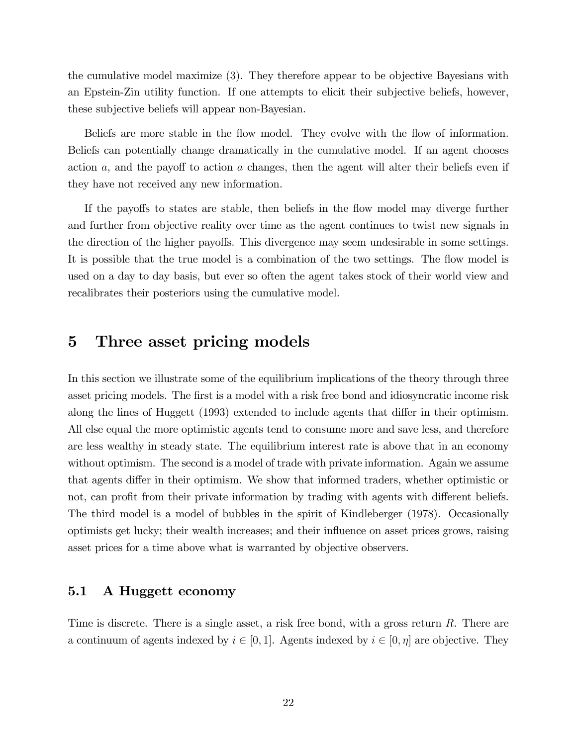the cumulative model maximize (3). They therefore appear to be objective Bayesians with an Epstein-Zin utility function. If one attempts to elicit their subjective beliefs, however, these subjective beliefs will appear non-Bayesian.

Beliefs are more stable in the flow model. They evolve with the flow of information. Beliefs can potentially change dramatically in the cumulative model. If an agent chooses action  $a$ , and the payoff to action  $a$  changes, then the agent will alter their beliefs even if they have not received any new information.

If the payoffs to states are stable, then beliefs in the flow model may diverge further and further from objective reality over time as the agent continues to twist new signals in the direction of the higher payoffs. This divergence may seem undesirable in some settings. It is possible that the true model is a combination of the two settings. The flow model is used on a day to day basis, but ever so often the agent takes stock of their world view and recalibrates their posteriors using the cumulative model.

### 5 Three asset pricing models

In this section we illustrate some of the equilibrium implications of the theory through three asset pricing models. The first is a model with a risk free bond and idiosyncratic income risk along the lines of Huggett (1993) extended to include agents that differ in their optimism. All else equal the more optimistic agents tend to consume more and save less, and therefore are less wealthy in steady state. The equilibrium interest rate is above that in an economy without optimism. The second is a model of trade with private information. Again we assume that agents differ in their optimism. We show that informed traders, whether optimistic or not, can profit from their private information by trading with agents with different beliefs. The third model is a model of bubbles in the spirit of Kindleberger (1978). Occasionally optimists get lucky; their wealth increases; and their influence on asset prices grows, raising asset prices for a time above what is warranted by objective observers.

#### 5.1 A Huggett economy

Time is discrete. There is a single asset, a risk free bond, with a gross return R. There are a continuum of agents indexed by  $i \in [0, 1]$ . Agents indexed by  $i \in [0, \eta]$  are objective. They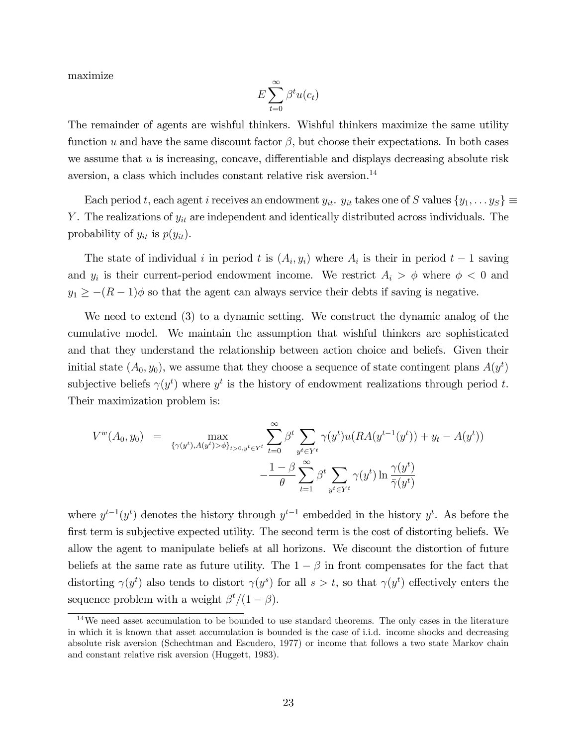maximize

$$
E\sum_{t=0}^{\infty} \beta^t u(c_t)
$$

The remainder of agents are wishful thinkers. Wishful thinkers maximize the same utility function u and have the same discount factor  $\beta$ , but choose their expectations. In both cases we assume that  $u$  is increasing, concave, differentiable and displays decreasing absolute risk aversion, a class which includes constant relative risk aversion.<sup>14</sup>

Each period t, each agent i receives an endowment  $y_{it}$ .  $y_{it}$  takes one of S values  $\{y_1, \ldots y_S\} \equiv$ Y. The realizations of  $y_{it}$  are independent and identically distributed across individuals. The probability of  $y_{it}$  is  $p(y_{it})$ .

The state of individual i in period t is  $(A_i, y_i)$  where  $A_i$  is their in period  $t-1$  saving and  $y_i$  is their current-period endowment income. We restrict  $A_i > \phi$  where  $\phi < 0$  and  $y_1 \ge -(R-1)\phi$  so that the agent can always service their debts if saving is negative.

We need to extend (3) to a dynamic setting. We construct the dynamic analog of the cumulative model. We maintain the assumption that wishful thinkers are sophisticated and that they understand the relationship between action choice and beliefs. Given their initial state  $(A_0, y_0)$ , we assume that they choose a sequence of state contingent plans  $A(y^t)$ subjective beliefs  $\gamma(y^t)$  where  $y^t$  is the history of endowment realizations through period t. Their maximization problem is:

$$
V^{w}(A_{0}, y_{0}) = \max_{\{\gamma(y^{t}), A(y^{t}) > \phi\}_{t>0, y^{t} \in Y^{t}}}\sum_{t=0}^{\infty} \beta^{t} \sum_{y^{t} \in Y^{t}} \gamma(y^{t})u(RA(y^{t-1}(y^{t})) + y_{t} - A(y^{t})) - \frac{1-\beta}{\theta} \sum_{t=1}^{\infty} \beta^{t} \sum_{y^{t} \in Y^{t}} \gamma(y^{t}) \ln \frac{\gamma(y^{t})}{\bar{\gamma}(y^{t})}
$$

where  $y^{t-1}(y^t)$  denotes the history through  $y^{t-1}$  embedded in the history  $y^t$ . As before the first term is subjective expected utility. The second term is the cost of distorting beliefs. We allow the agent to manipulate beliefs at all horizons. We discount the distortion of future beliefs at the same rate as future utility. The  $1 - \beta$  in front compensates for the fact that distorting  $\gamma(y^t)$  also tends to distort  $\gamma(y^s)$  for all  $s > t$ , so that  $\gamma(y^t)$  effectively enters the sequence problem with a weight  $\beta^t/(1-\beta)$ .

<sup>14</sup>We need asset accumulation to be bounded to use standard theorems. The only cases in the literature in which it is known that asset accumulation is bounded is the case of i.i.d. income shocks and decreasing absolute risk aversion (Schechtman and Escudero, 1977) or income that follows a two state Markov chain and constant relative risk aversion (Huggett, 1983).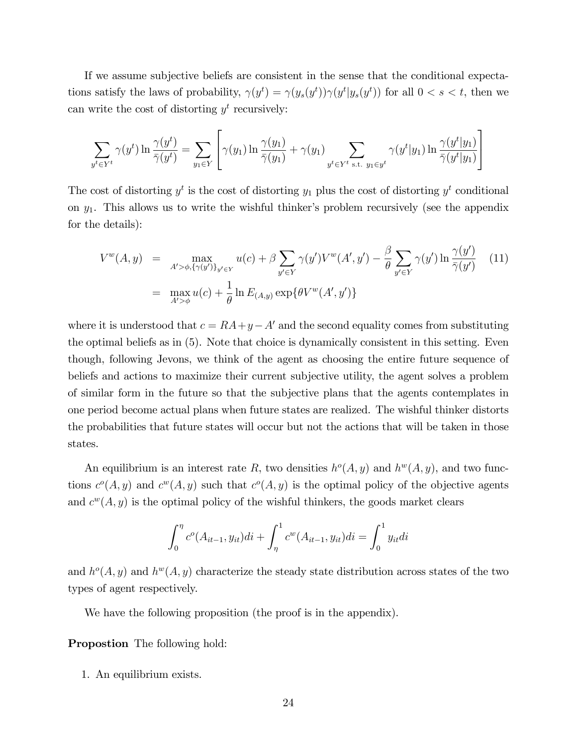If we assume subjective beliefs are consistent in the sense that the conditional expectations satisfy the laws of probability,  $\gamma(y^t) = \gamma(y_s(y^t))\gamma(y^t|y_s(y^t))$  for all  $0 < s < t$ , then we can write the cost of distorting  $y^t$  recursively:

$$
\sum_{y^t \in Y^t} \gamma(y^t) \ln \frac{\gamma(y^t)}{\bar{\gamma}(y^t)} = \sum_{y_1 \in Y} \left[ \gamma(y_1) \ln \frac{\gamma(y_1)}{\bar{\gamma}(y_1)} + \gamma(y_1) \sum_{y^t \in Y^t \text{ s.t. } y_1 \in y^t} \gamma(y^t | y_1) \ln \frac{\gamma(y^t | y_1)}{\bar{\gamma}(y^t | y_1)} \right]
$$

The cost of distorting  $y^t$  is the cost of distorting  $y_1$  plus the cost of distorting  $y^t$  conditional on  $y_1$ . This allows us to write the wishful thinker's problem recursively (see the appendix for the details):

$$
V^{w}(A, y) = \max_{A' > \phi, \{\gamma(y')\}_{y' \in Y}} u(c) + \beta \sum_{y' \in Y} \gamma(y') V^{w}(A', y') - \frac{\beta}{\theta} \sum_{y' \in Y} \gamma(y') \ln \frac{\gamma(y')}{\overline{\gamma}(y')} \tag{11}
$$

$$
= \max_{A' > \phi} u(c) + \frac{1}{\theta} \ln E_{(A, y)} \exp{\{\theta V^{w}(A', y')\}}
$$

where it is understood that  $c = RA + y - A'$  and the second equality comes from substituting the optimal beliefs as in (5). Note that choice is dynamically consistent in this setting. Even though, following Jevons, we think of the agent as choosing the entire future sequence of beliefs and actions to maximize their current subjective utility, the agent solves a problem of similar form in the future so that the subjective plans that the agents contemplates in one period become actual plans when future states are realized. The wishful thinker distorts the probabilities that future states will occur but not the actions that will be taken in those states.

An equilibrium is an interest rate R, two densities  $h^o(A, y)$  and  $h^w(A, y)$ , and two functions  $c^{\circ}(A, y)$  and  $c^{w}(A, y)$  such that  $c^{\circ}(A, y)$  is the optimal policy of the objective agents and  $c^w(A, y)$  is the optimal policy of the wishful thinkers, the goods market clears

$$
\int_0^{\eta} c^o(A_{it-1}, y_{it})di + \int_{\eta}^1 c^w(A_{it-1}, y_{it})di = \int_0^1 y_{it}di
$$

and  $h^{\circ}(A, y)$  and  $h^{\circ}(A, y)$  characterize the steady state distribution across states of the two types of agent respectively.

We have the following proposition (the proof is in the appendix).

Propostion The following hold:

1. An equilibrium exists.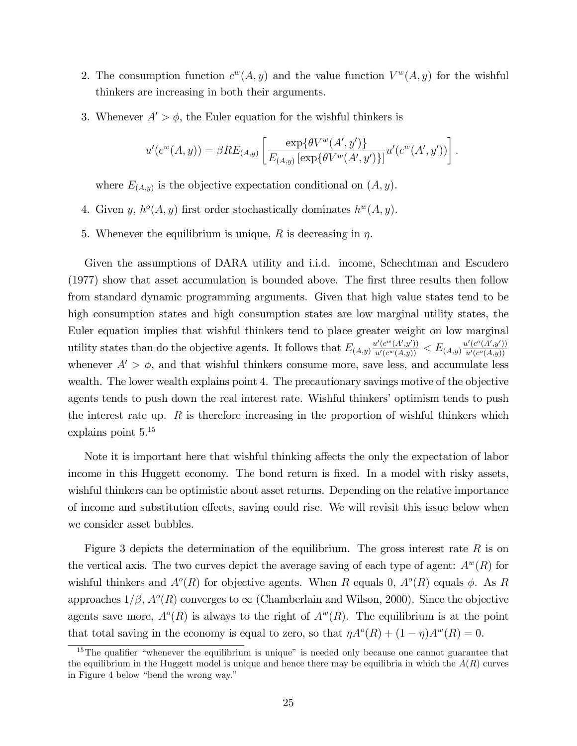- 2. The consumption function  $c^w(A, y)$  and the value function  $V^w(A, y)$  for the wishful thinkers are increasing in both their arguments.
- 3. Whenever  $A' > \phi$ , the Euler equation for the wishful thinkers is

$$
u'(c^{w}(A, y)) = \beta RE_{(A, y)} \left[ \frac{\exp{\{\theta V^{w}(A', y')\}}}{E_{(A, y)} [\exp{\{\theta V^{w}(A', y')\}}]} u'(c^{w}(A', y')) \right].
$$

where  $E_{(A,y)}$  is the objective expectation conditional on  $(A, y)$ .

- 4. Given y,  $h^o(A, y)$  first order stochastically dominates  $h^w(A, y)$ .
- 5. Whenever the equilibrium is unique, R is decreasing in  $\eta$ .

Given the assumptions of DARA utility and i.i.d. income, Schechtman and Escudero (1977) show that asset accumulation is bounded above. The first three results then follow from standard dynamic programming arguments. Given that high value states tend to be high consumption states and high consumption states are low marginal utility states, the Euler equation implies that wishful thinkers tend to place greater weight on low marginal utility states than do the objective agents. It follows that  $E_{(A,y)} \frac{u'(c^w(A',y'))}{u'(c^w(A,y))} < E_{(A,y)} \frac{u'(c^o(A',y'))}{u'(c^o(A,y))}$  $u'(c^o(A,y))$ whenever  $A' > \phi$ , and that wishful thinkers consume more, save less, and accumulate less wealth. The lower wealth explains point 4. The precautionary savings motive of the objective agents tends to push down the real interest rate. Wishful thinkers' optimism tends to push the interest rate up.  $R$  is therefore increasing in the proportion of wishful thinkers which explains point 5.<sup>15</sup>

Note it is important here that wishful thinking affects the only the expectation of labor income in this Huggett economy. The bond return is fixed. In a model with risky assets, wishful thinkers can be optimistic about asset returns. Depending on the relative importance of income and substitution effects, saving could rise. We will revisit this issue below when we consider asset bubbles.

Figure 3 depicts the determination of the equilibrium. The gross interest rate R is on the vertical axis. The two curves depict the average saving of each type of agent:  $A^{w}(R)$  for wishful thinkers and  $A^o(R)$  for objective agents. When R equals 0,  $A^o(R)$  equals  $\phi$ . As R approaches  $1/\beta$ ,  $A^o(R)$  converges to  $\infty$  (Chamberlain and Wilson, 2000). Since the objective agents save more,  $A^o(R)$  is always to the right of  $A^w(R)$ . The equilibrium is at the point that total saving in the economy is equal to zero, so that  $\eta A^o(R) + (1 - \eta)A^w(R) = 0$ .

 $15$ The qualifier "whenever the equilibrium is unique" is needed only because one cannot guarantee that the equilibrium in the Huggett model is unique and hence there may be equilibria in which the  $A(R)$  curves in Figure 4 below "bend the wrong way."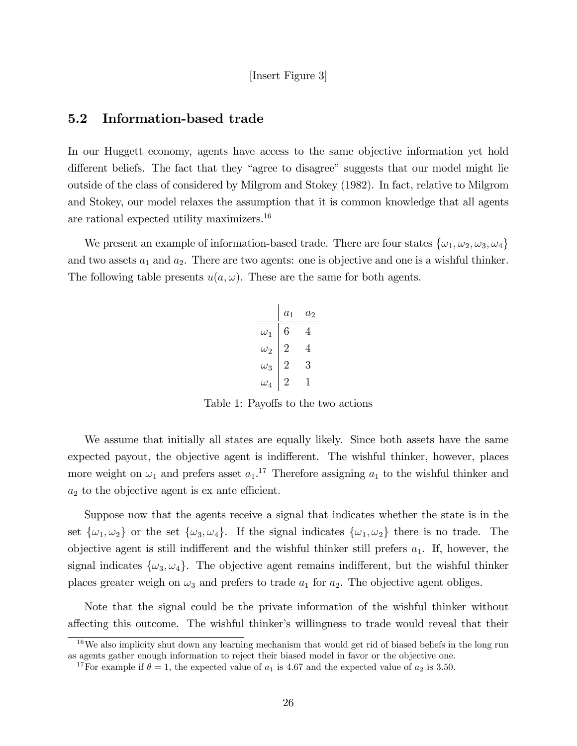#### [Insert Figure 3]

### 5.2 Information-based trade

In our Huggett economy, agents have access to the same objective information yet hold different beliefs. The fact that they "agree to disagree" suggests that our model might lie outside of the class of considered by Milgrom and Stokey (1982). In fact, relative to Milgrom and Stokey, our model relaxes the assumption that it is common knowledge that all agents are rational expected utility maximizers.<sup>16</sup>

We present an example of information-based trade. There are four states  $\{\omega_1, \omega_2, \omega_3, \omega_4\}$ and two assets  $a_1$  and  $a_2$ . There are two agents: one is objective and one is a wishful thinker. The following table presents  $u(a, \omega)$ . These are the same for both agents.

|            | $a_1$ | $a_2$ |
|------------|-------|-------|
| $\omega_1$ | 6     | 4     |
| $\omega_2$ | 2     | 4     |
| $\omega_3$ | 2     | 3     |
| $\omega_4$ | 2     | Ш     |

Table 1: Payoffs to the two actions

We assume that initially all states are equally likely. Since both assets have the same expected payout, the objective agent is indifferent. The wishful thinker, however, places more weight on  $\omega_1$  and prefers asset  $a_1$ <sup>17</sup> Therefore assigning  $a_1$  to the wishful thinker and  $a_2$  to the objective agent is ex ante efficient.

Suppose now that the agents receive a signal that indicates whether the state is in the set  $\{\omega_1,\omega_2\}$  or the set  $\{\omega_3,\omega_4\}$ . If the signal indicates  $\{\omega_1,\omega_2\}$  there is no trade. The objective agent is still indifferent and the wishful thinker still prefers  $a_1$ . If, however, the signal indicates  $\{\omega_3, \omega_4\}$ . The objective agent remains indifferent, but the wishful thinker places greater weigh on  $\omega_3$  and prefers to trade  $a_1$  for  $a_2$ . The objective agent obliges.

Note that the signal could be the private information of the wishful thinker without affecting this outcome. The wishful thinker's willingness to trade would reveal that their

 $16$ We also implicity shut down any learning mechanism that would get rid of biased beliefs in the long run as agents gather enough information to reject their biased model in favor or the objective one.

<sup>&</sup>lt;sup>17</sup>For example if  $\theta = 1$ , the expected value of  $a_1$  is 4.67 and the expected value of  $a_2$  is 3.50.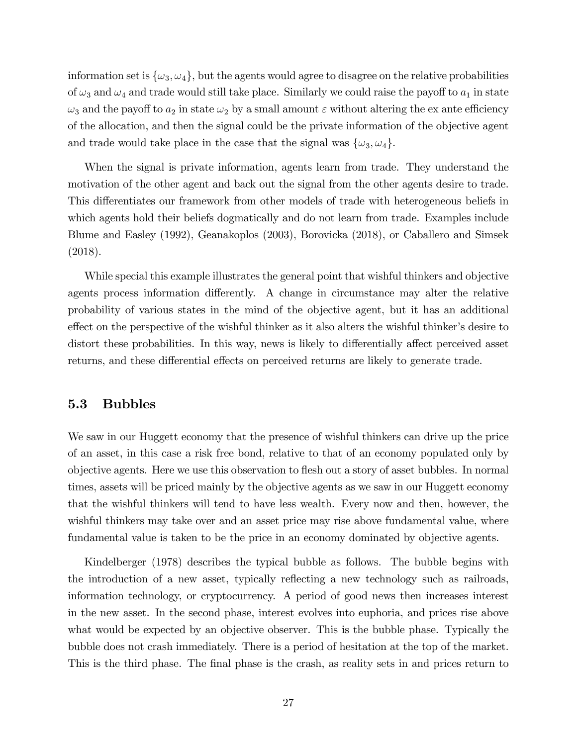information set is  $\{\omega_3, \omega_4\}$ , but the agents would agree to disagree on the relative probabilities of  $\omega_3$  and  $\omega_4$  and trade would still take place. Similarly we could raise the payoff to  $a_1$  in state  $\omega_3$  and the payoff to  $a_2$  in state  $\omega_2$  by a small amount  $\varepsilon$  without altering the ex ante efficiency of the allocation, and then the signal could be the private information of the objective agent and trade would take place in the case that the signal was  $\{\omega_3, \omega_4\}.$ 

When the signal is private information, agents learn from trade. They understand the motivation of the other agent and back out the signal from the other agents desire to trade. This differentiates our framework from other models of trade with heterogeneous beliefs in which agents hold their beliefs dogmatically and do not learn from trade. Examples include Blume and Easley (1992), Geanakoplos (2003), Borovicka (2018), or Caballero and Simsek (2018).

While special this example illustrates the general point that wishful thinkers and objective agents process information differently. A change in circumstance may alter the relative probability of various states in the mind of the objective agent, but it has an additional effect on the perspective of the wishful thinker as it also alters the wishful thinker's desire to distort these probabilities. In this way, news is likely to differentially affect perceived asset returns, and these differential effects on perceived returns are likely to generate trade.

#### 5.3 Bubbles

We saw in our Huggett economy that the presence of wishful thinkers can drive up the price of an asset, in this case a risk free bond, relative to that of an economy populated only by objective agents. Here we use this observation to áesh out a story of asset bubbles. In normal times, assets will be priced mainly by the objective agents as we saw in our Huggett economy that the wishful thinkers will tend to have less wealth. Every now and then, however, the wishful thinkers may take over and an asset price may rise above fundamental value, where fundamental value is taken to be the price in an economy dominated by objective agents.

Kindelberger (1978) describes the typical bubble as follows. The bubble begins with the introduction of a new asset, typically reflecting a new technology such as railroads, information technology, or cryptocurrency. A period of good news then increases interest in the new asset. In the second phase, interest evolves into euphoria, and prices rise above what would be expected by an objective observer. This is the bubble phase. Typically the bubble does not crash immediately. There is a period of hesitation at the top of the market. This is the third phase. The final phase is the crash, as reality sets in and prices return to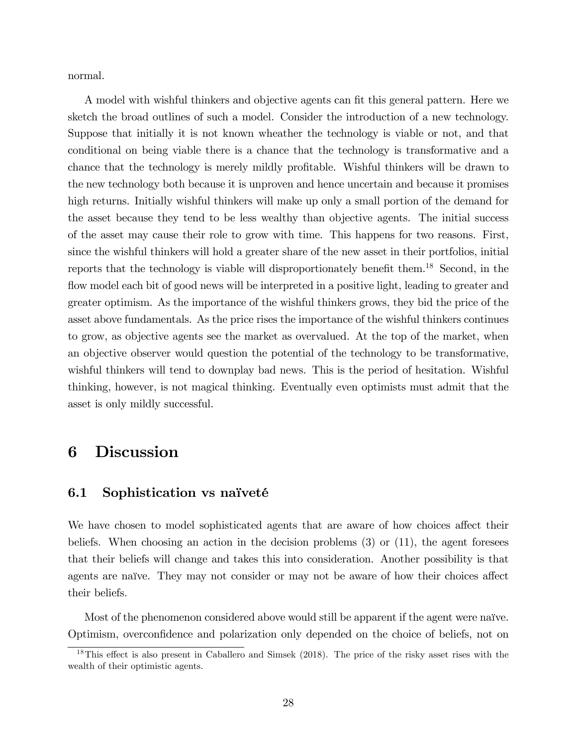normal.

A model with wishful thinkers and objective agents can fit this general pattern. Here we sketch the broad outlines of such a model. Consider the introduction of a new technology. Suppose that initially it is not known wheather the technology is viable or not, and that conditional on being viable there is a chance that the technology is transformative and a chance that the technology is merely mildly profitable. Wishful thinkers will be drawn to the new technology both because it is unproven and hence uncertain and because it promises high returns. Initially wishful thinkers will make up only a small portion of the demand for the asset because they tend to be less wealthy than objective agents. The initial success of the asset may cause their role to grow with time. This happens for two reasons. First, since the wishful thinkers will hold a greater share of the new asset in their portfolios, initial reports that the technology is viable will disproportionately benefit them.<sup>18</sup> Second, in the flow model each bit of good news will be interpreted in a positive light, leading to greater and greater optimism. As the importance of the wishful thinkers grows, they bid the price of the asset above fundamentals. As the price rises the importance of the wishful thinkers continues to grow, as objective agents see the market as overvalued. At the top of the market, when an objective observer would question the potential of the technology to be transformative, wishful thinkers will tend to downplay bad news. This is the period of hesitation. Wishful thinking, however, is not magical thinking. Eventually even optimists must admit that the asset is only mildly successful.

## 6 Discussion

#### 6.1 Sophistication vs naïveté

We have chosen to model sophisticated agents that are aware of how choices affect their beliefs. When choosing an action in the decision problems  $(3)$  or  $(11)$ , the agent foresees that their beliefs will change and takes this into consideration. Another possibility is that agents are naïve. They may not consider or may not be aware of how their choices affect their beliefs.

Most of the phenomenon considered above would still be apparent if the agent were naïve. Optimism, overconÖdence and polarization only depended on the choice of beliefs, not on

 $18$ This effect is also present in Caballero and Simsek (2018). The price of the risky asset rises with the wealth of their optimistic agents.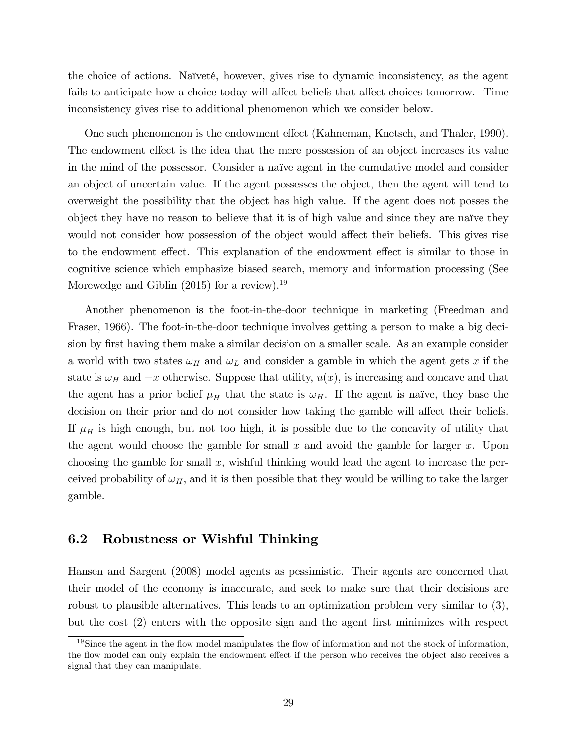the choice of actions. Naïveté, however, gives rise to dynamic inconsistency, as the agent fails to anticipate how a choice today will affect beliefs that affect choices tomorrow. Time inconsistency gives rise to additional phenomenon which we consider below.

One such phenomenon is the endowment effect (Kahneman, Knetsch, and Thaler, 1990). The endowment effect is the idea that the mere possession of an object increases its value in the mind of the possessor. Consider a naïve agent in the cumulative model and consider an object of uncertain value. If the agent possesses the object, then the agent will tend to overweight the possibility that the object has high value. If the agent does not posses the object they have no reason to believe that it is of high value and since they are naïve they would not consider how possession of the object would affect their beliefs. This gives rise to the endowment effect. This explanation of the endowment effect is similar to those in cognitive science which emphasize biased search, memory and information processing (See Morewedge and Giblin  $(2015)$  for a review).<sup>19</sup>

Another phenomenon is the foot-in-the-door technique in marketing (Freedman and Fraser, 1966). The foot-in-the-door technique involves getting a person to make a big decision by first having them make a similar decision on a smaller scale. As an example consider a world with two states  $\omega_H$  and  $\omega_L$  and consider a gamble in which the agent gets x if the state is  $\omega_H$  and  $-x$  otherwise. Suppose that utility,  $u(x)$ , is increasing and concave and that the agent has a prior belief  $\mu_H$  that the state is  $\omega_H$ . If the agent is naïve, they base the decision on their prior and do not consider how taking the gamble will affect their beliefs. If  $\mu$ <sub>H</sub> is high enough, but not too high, it is possible due to the concavity of utility that the agent would choose the gamble for small  $x$  and avoid the gamble for larger  $x$ . Upon choosing the gamble for small  $x$ , wishful thinking would lead the agent to increase the perceived probability of  $\omega_H$ , and it is then possible that they would be willing to take the larger gamble.

#### 6.2 Robustness or Wishful Thinking

Hansen and Sargent (2008) model agents as pessimistic. Their agents are concerned that their model of the economy is inaccurate, and seek to make sure that their decisions are robust to plausible alternatives. This leads to an optimization problem very similar to (3), but the cost (2) enters with the opposite sign and the agent first minimizes with respect

 $19\text{Since the agent in the flow model manipulates the flow of information and not the stock of information, }$ the flow model can only explain the endowment effect if the person who receives the object also receives a signal that they can manipulate.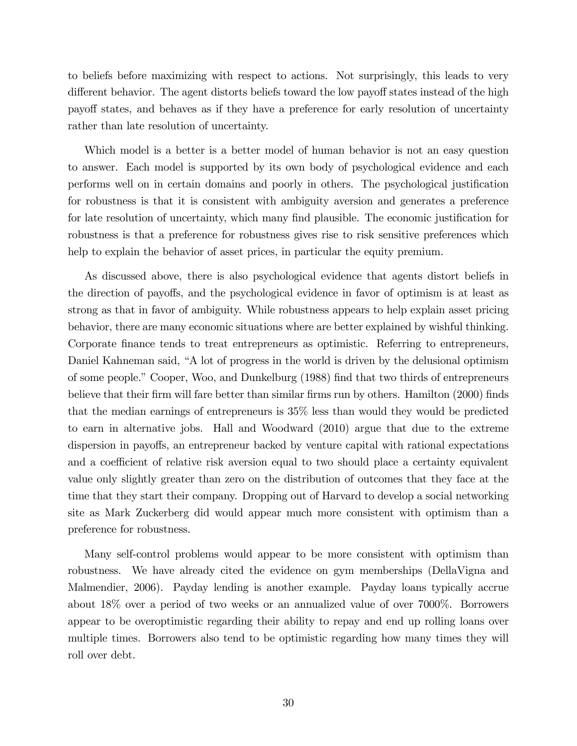to beliefs before maximizing with respect to actions. Not surprisingly, this leads to very different behavior. The agent distorts beliefs toward the low payoff states instead of the high payoff states, and behaves as if they have a preference for early resolution of uncertainty rather than late resolution of uncertainty.

Which model is a better is a better model of human behavior is not an easy question to answer. Each model is supported by its own body of psychological evidence and each performs well on in certain domains and poorly in others. The psychological justification for robustness is that it is consistent with ambiguity aversion and generates a preference for late resolution of uncertainty, which many find plausible. The economic justification for robustness is that a preference for robustness gives rise to risk sensitive preferences which help to explain the behavior of asset prices, in particular the equity premium.

As discussed above, there is also psychological evidence that agents distort beliefs in the direction of payoffs, and the psychological evidence in favor of optimism is at least as strong as that in favor of ambiguity. While robustness appears to help explain asset pricing behavior, there are many economic situations where are better explained by wishful thinking. Corporate Önance tends to treat entrepreneurs as optimistic. Referring to entrepreneurs, Daniel Kahneman said, "A lot of progress in the world is driven by the delusional optimism of some people." Cooper, Woo, and Dunkelburg (1988) find that two thirds of entrepreneurs believe that their firm will fare better than similar firms run by others. Hamilton (2000) finds that the median earnings of entrepreneurs is 35% less than would they would be predicted to earn in alternative jobs. Hall and Woodward (2010) argue that due to the extreme dispersion in payoffs, an entrepreneur backed by venture capital with rational expectations and a coefficient of relative risk aversion equal to two should place a certainty equivalent value only slightly greater than zero on the distribution of outcomes that they face at the time that they start their company. Dropping out of Harvard to develop a social networking site as Mark Zuckerberg did would appear much more consistent with optimism than a preference for robustness.

Many self-control problems would appear to be more consistent with optimism than robustness. We have already cited the evidence on gym memberships (DellaVigna and Malmendier, 2006). Payday lending is another example. Payday loans typically accrue about 18% over a period of two weeks or an annualized value of over 7000%. Borrowers appear to be overoptimistic regarding their ability to repay and end up rolling loans over multiple times. Borrowers also tend to be optimistic regarding how many times they will roll over debt.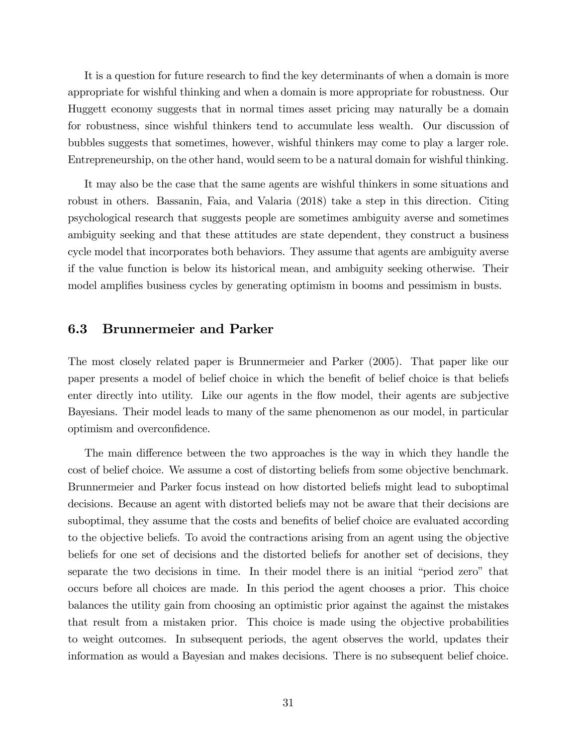It is a question for future research to find the key determinants of when a domain is more appropriate for wishful thinking and when a domain is more appropriate for robustness. Our Huggett economy suggests that in normal times asset pricing may naturally be a domain for robustness, since wishful thinkers tend to accumulate less wealth. Our discussion of bubbles suggests that sometimes, however, wishful thinkers may come to play a larger role. Entrepreneurship, on the other hand, would seem to be a natural domain for wishful thinking.

It may also be the case that the same agents are wishful thinkers in some situations and robust in others. Bassanin, Faia, and Valaria (2018) take a step in this direction. Citing psychological research that suggests people are sometimes ambiguity averse and sometimes ambiguity seeking and that these attitudes are state dependent, they construct a business cycle model that incorporates both behaviors. They assume that agents are ambiguity averse if the value function is below its historical mean, and ambiguity seeking otherwise. Their model amplifies business cycles by generating optimism in booms and pessimism in busts.

#### 6.3 Brunnermeier and Parker

The most closely related paper is Brunnermeier and Parker (2005). That paper like our paper presents a model of belief choice in which the benefit of belief choice is that beliefs enter directly into utility. Like our agents in the flow model, their agents are subjective Bayesians. Their model leads to many of the same phenomenon as our model, in particular optimism and overconfidence.

The main difference between the two approaches is the way in which they handle the cost of belief choice. We assume a cost of distorting beliefs from some objective benchmark. Brunnermeier and Parker focus instead on how distorted beliefs might lead to suboptimal decisions. Because an agent with distorted beliefs may not be aware that their decisions are suboptimal, they assume that the costs and benefits of belief choice are evaluated according to the objective beliefs. To avoid the contractions arising from an agent using the objective beliefs for one set of decisions and the distorted beliefs for another set of decisions, they separate the two decisions in time. In their model there is an initial "period zero" that occurs before all choices are made. In this period the agent chooses a prior. This choice balances the utility gain from choosing an optimistic prior against the against the mistakes that result from a mistaken prior. This choice is made using the objective probabilities to weight outcomes. In subsequent periods, the agent observes the world, updates their information as would a Bayesian and makes decisions. There is no subsequent belief choice.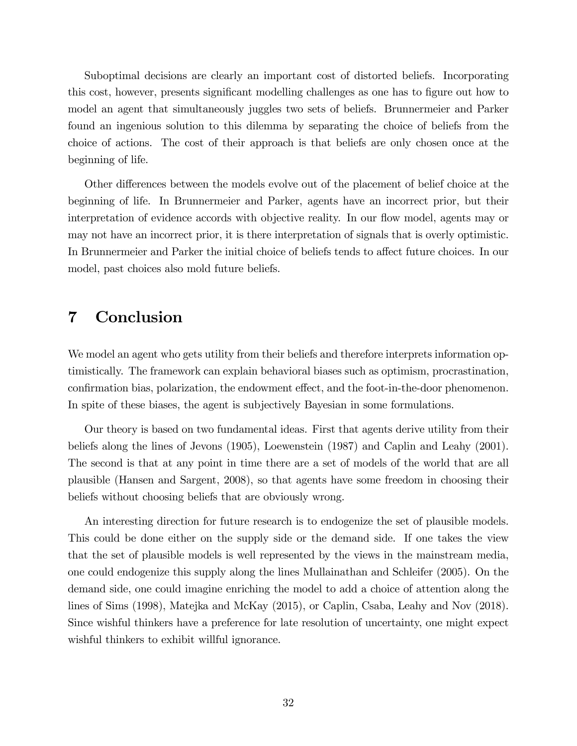Suboptimal decisions are clearly an important cost of distorted beliefs. Incorporating this cost, however, presents significant modelling challenges as one has to figure out how to model an agent that simultaneously juggles two sets of beliefs. Brunnermeier and Parker found an ingenious solution to this dilemma by separating the choice of beliefs from the choice of actions. The cost of their approach is that beliefs are only chosen once at the beginning of life.

Other differences between the models evolve out of the placement of belief choice at the beginning of life. In Brunnermeier and Parker, agents have an incorrect prior, but their interpretation of evidence accords with objective reality. In our flow model, agents may or may not have an incorrect prior, it is there interpretation of signals that is overly optimistic. In Brunnermeier and Parker the initial choice of beliefs tends to affect future choices. In our model, past choices also mold future beliefs.

### 7 Conclusion

We model an agent who gets utility from their beliefs and therefore interprets information optimistically. The framework can explain behavioral biases such as optimism, procrastination, confirmation bias, polarization, the endowment effect, and the foot-in-the-door phenomenon. In spite of these biases, the agent is subjectively Bayesian in some formulations.

Our theory is based on two fundamental ideas. First that agents derive utility from their beliefs along the lines of Jevons (1905), Loewenstein (1987) and Caplin and Leahy (2001). The second is that at any point in time there are a set of models of the world that are all plausible (Hansen and Sargent, 2008), so that agents have some freedom in choosing their beliefs without choosing beliefs that are obviously wrong.

An interesting direction for future research is to endogenize the set of plausible models. This could be done either on the supply side or the demand side. If one takes the view that the set of plausible models is well represented by the views in the mainstream media, one could endogenize this supply along the lines Mullainathan and Schleifer (2005). On the demand side, one could imagine enriching the model to add a choice of attention along the lines of Sims (1998), Matejka and McKay (2015), or Caplin, Csaba, Leahy and Nov (2018). Since wishful thinkers have a preference for late resolution of uncertainty, one might expect wishful thinkers to exhibit willful ignorance.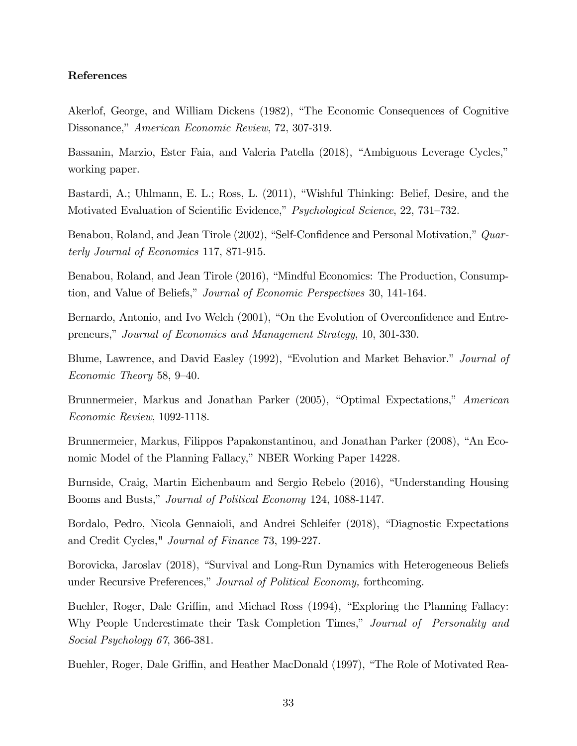#### References

Akerlof, George, and William Dickens (1982), "The Economic Consequences of Cognitive Dissonance," American Economic Review, 72, 307-319.

Bassanin, Marzio, Ester Faia, and Valeria Patella (2018), "Ambiguous Leverage Cycles," working paper.

Bastardi, A.; Uhlmann, E. L.; Ross, L. (2011), "Wishful Thinking: Belief, Desire, and the Motivated Evaluation of Scientific Evidence," Psychological Science, 22, 731-732.

Benabou, Roland, and Jean Tirole (2002), "Self-Confidence and Personal Motivation," Quarterly Journal of Economics 117, 871-915.

Benabou, Roland, and Jean Tirole (2016), "Mindful Economics: The Production, Consumption, and Value of Beliefs," *Journal of Economic Perspectives* 30, 141-164.

Bernardo, Antonio, and Ivo Welch (2001), "On the Evolution of Overconfidence and Entrepreneurs," Journal of Economics and Management Strategy, 10, 301-330.

Blume, Lawrence, and David Easley (1992), "Evolution and Market Behavior." Journal of Economic Theory 58,  $9-40$ .

Brunnermeier, Markus and Jonathan Parker (2005), "Optimal Expectations," American Economic Review, 1092-1118.

Brunnermeier, Markus, Filippos Papakonstantinou, and Jonathan Parker (2008), "An Economic Model of the Planning Fallacy," NBER Working Paper 14228.

Burnside, Craig, Martin Eichenbaum and Sergio Rebelo (2016), "Understanding Housing Booms and Busts," Journal of Political Economy 124, 1088-1147.

Bordalo, Pedro, Nicola Gennaioli, and Andrei Schleifer (2018), "Diagnostic Expectations and Credit Cycles," Journal of Finance 73, 199-227.

Borovicka, Jaroslav (2018), "Survival and Long-Run Dynamics with Heterogeneous Beliefs under Recursive Preferences," Journal of Political Economy, forthcoming.

Buehler, Roger, Dale Griffin, and Michael Ross (1994), "Exploring the Planning Fallacy: Why People Underestimate their Task Completion Times," Journal of Personality and Social Psychology 67, 366-381.

Buehler, Roger, Dale Griffin, and Heather MacDonald (1997), "The Role of Motivated Rea-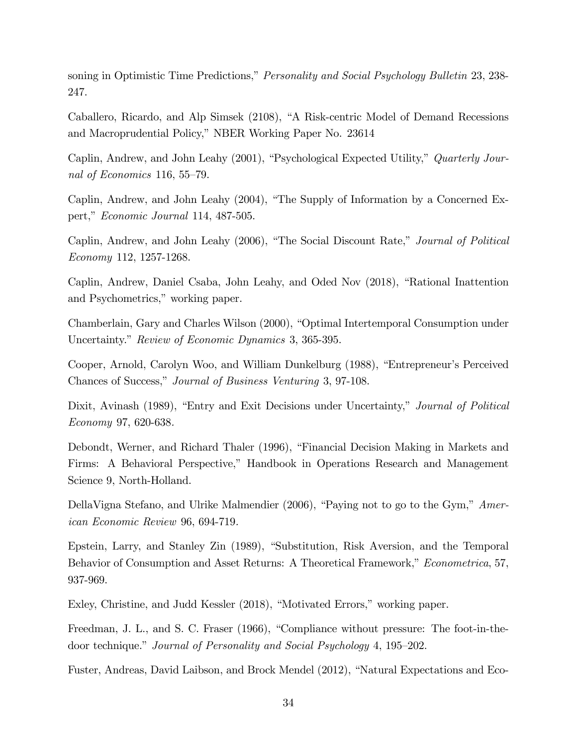soning in Optimistic Time Predictions," Personality and Social Psychology Bulletin 23, 238-247.

Caballero, Ricardo, and Alp Simsek (2108), "A Risk-centric Model of Demand Recessions and Macroprudential Policy," NBER Working Paper No. 23614

Caplin, Andrew, and John Leahy (2001), "Psychological Expected Utility," Quarterly Journal of Economics 116, 55–79.

Caplin, Andrew, and John Leahy  $(2004)$ , "The Supply of Information by a Concerned Expert," Economic Journal 114, 487-505.

Caplin, Andrew, and John Leahy (2006), "The Social Discount Rate," Journal of Political Economy 112, 1257-1268.

Caplin, Andrew, Daniel Csaba, John Leahy, and Oded Nov (2018), "Rational Inattention and Psychometrics," working paper.

Chamberlain, Gary and Charles Wilson (2000), "Optimal Intertemporal Consumption under Uncertainty." Review of Economic Dynamics 3, 365-395.

Cooper, Arnold, Carolyn Woo, and William Dunkelburg (1988), "Entrepreneur's Perceived Chances of Success," Journal of Business Venturing 3, 97-108.

Dixit, Avinash (1989), "Entry and Exit Decisions under Uncertainty," Journal of Political Economy 97, 620-638.

Debondt, Werner, and Richard Thaler (1996), "Financial Decision Making in Markets and Firms: A Behavioral Perspective," Handbook in Operations Research and Management Science 9, North-Holland.

DellaVigna Stefano, and Ulrike Malmendier  $(2006)$ , "Paying not to go to the Gym," American Economic Review 96, 694-719.

Epstein, Larry, and Stanley Zin (1989), "Substitution, Risk Aversion, and the Temporal Behavior of Consumption and Asset Returns: A Theoretical Framework," Econometrica, 57, 937-969.

Exley, Christine, and Judd Kessler (2018), "Motivated Errors," working paper.

Freedman, J. L., and S. C. Fraser (1966), "Compliance without pressure: The foot-in-thedoor technique." Journal of Personality and Social Psychology 4, 195–202.

Fuster, Andreas, David Laibson, and Brock Mendel (2012), "Natural Expectations and Eco-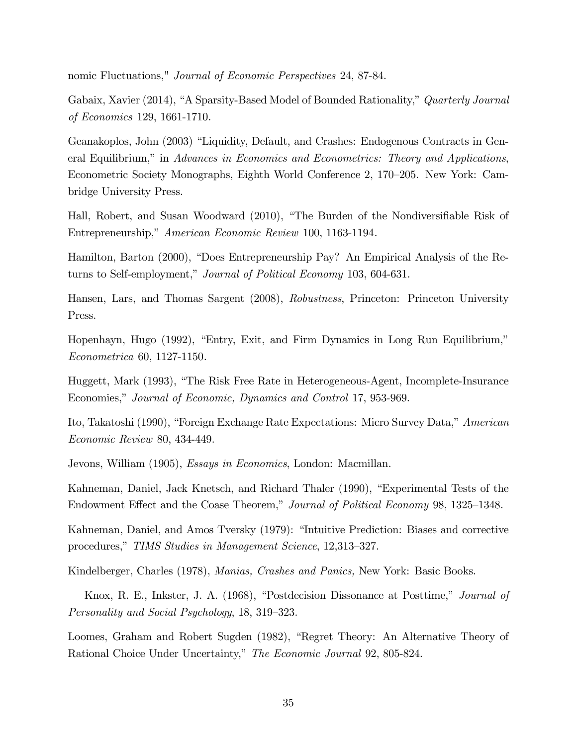nomic Fluctuations," Journal of Economic Perspectives 24, 87-84.

Gabaix, Xavier (2014), "A Sparsity-Based Model of Bounded Rationality," Quarterly Journal of Economics 129, 1661-1710.

Geanakoplos, John (2003) "Liquidity, Default, and Crashes: Endogenous Contracts in General Equilibrium," in Advances in Economics and Econometrics: Theory and Applications, Econometric Society Monographs, Eighth World Conference 2, 170–205. New York: Cambridge University Press.

Hall, Robert, and Susan Woodward (2010), "The Burden of the Nondiversifiable Risk of Entrepreneurship," American Economic Review 100, 1163-1194.

Hamilton, Barton (2000), "Does Entrepreneurship Pay? An Empirical Analysis of the Returns to Self-employment," Journal of Political Economy 103, 604-631.

Hansen, Lars, and Thomas Sargent (2008), Robustness, Princeton: Princeton University Press.

Hopenhayn, Hugo (1992), "Entry, Exit, and Firm Dynamics in Long Run Equilibrium," Econometrica 60, 1127-1150.

Huggett, Mark (1993), "The Risk Free Rate in Heterogeneous-Agent, Incomplete-Insurance Economies," Journal of Economic, Dynamics and Control 17, 953-969.

Ito, Takatoshi (1990), "Foreign Exchange Rate Expectations: Micro Survey Data," American Economic Review 80, 434-449.

Jevons, William (1905), Essays in Economics, London: Macmillan.

Kahneman, Daniel, Jack Knetsch, and Richard Thaler (1990), "Experimental Tests of the Endowment Effect and the Coase Theorem," Journal of Political Economy 98, 1325–1348.

Kahneman, Daniel, and Amos Tversky (1979): "Intuitive Prediction: Biases and corrective procedures," TIMS Studies in Management Science, 12,313–327.

Kindelberger, Charles (1978), Manias, Crashes and Panics, New York: Basic Books.

Knox, R. E., Inkster, J. A. (1968), "Postdecision Dissonance at Posttime," Journal of Personality and Social Psychology, 18, 319–323.

Loomes, Graham and Robert Sugden (1982), "Regret Theory: An Alternative Theory of Rational Choice Under Uncertainty," The Economic Journal 92, 805-824.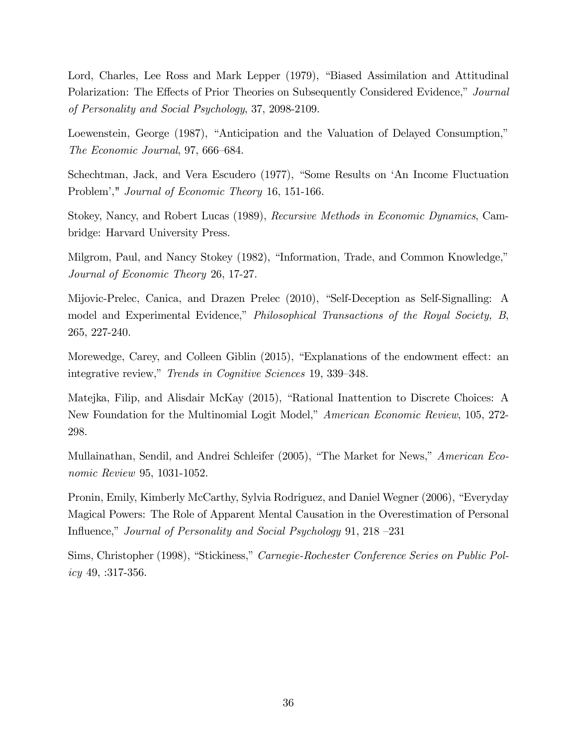Lord, Charles, Lee Ross and Mark Lepper (1979), "Biased Assimilation and Attitudinal Polarization: The Effects of Prior Theories on Subsequently Considered Evidence," Journal of Personality and Social Psychology, 37, 2098-2109.

Loewenstein, George (1987), "Anticipation and the Valuation of Delayed Consumption," The Economic Journal, 97, 666–684.

Schechtman, Jack, and Vera Escudero (1977), "Some Results on 'An Income Fluctuation Problem'," Journal of Economic Theory 16, 151-166.

Stokey, Nancy, and Robert Lucas (1989), Recursive Methods in Economic Dynamics, Cambridge: Harvard University Press.

Milgrom, Paul, and Nancy Stokey (1982), "Information, Trade, and Common Knowledge," Journal of Economic Theory 26, 17-27.

Mijovic-Prelec, Canica, and Drazen Prelec (2010), "Self-Deception as Self-Signalling: A model and Experimental Evidence," Philosophical Transactions of the Royal Society, B, 265, 227-240.

Morewedge, Carey, and Colleen Giblin (2015), "Explanations of the endowment effect: an integrative review," Trends in Cognitive Sciences 19, 339–348.

Matejka, Filip, and Alisdair McKay (2015), "Rational Inattention to Discrete Choices: A New Foundation for the Multinomial Logit Model," *American Economic Review*, 105, 272-298.

Mullainathan, Sendil, and Andrei Schleifer (2005), "The Market for News," American Economic Review 95, 1031-1052.

Pronin, Emily, Kimberly McCarthy, Sylvia Rodriguez, and Daniel Wegner (2006), "Everyday Magical Powers: The Role of Apparent Mental Causation in the Overestimation of Personal Influence," Journal of Personality and Social Psychology 91, 218  $-231$ 

Sims, Christopher (1998), "Stickiness," Carnegie-Rochester Conference Series on Public Policy 49, :317-356.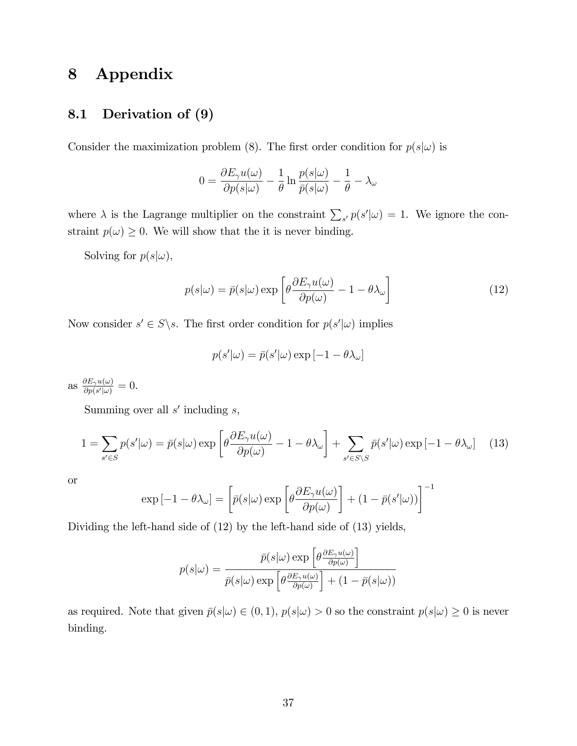## 8 Appendix

### 8.1 Derivation of (9)

Consider the maximization problem (8). The first order condition for  $p(s|\omega)$  is

$$
0 = \frac{\partial E_{\gamma}u(\omega)}{\partial p(s|\omega)} - \frac{1}{\theta}\ln\frac{p(s|\omega)}{\bar{p}(s|\omega)} - \frac{1}{\theta} - \lambda_{\omega}
$$

where  $\lambda$  is the Lagrange multiplier on the constraint  $\sum_{s'} p(s'|\omega) = 1$ . We ignore the constraint  $p(\omega) \geq 0$ . We will show that the it is never binding.

Solving for  $p(s|\omega)$ ,

$$
p(s|\omega) = \bar{p}(s|\omega) \exp\left[\theta \frac{\partial E_{\gamma} u(\omega)}{\partial p(\omega)} - 1 - \theta \lambda_{\omega}\right]
$$
(12)

Now consider  $s' \in S \backslash s$ . The first order condition for  $p(s'|\omega)$  implies

$$
p(s'|\omega) = \bar{p}(s'|\omega) \exp[-1 - \theta \lambda_{\omega}]
$$

as  $\frac{\partial E_{\gamma}u(\omega)}{\partial p(s'|\omega)}$  $\frac{\partial E_{\gamma}u(\omega)}{\partial p(s'|\omega)}=0.$ 

Summing over all  $s'$  including  $s$ ,

$$
1 = \sum_{s' \in S} p(s'|\omega) = \bar{p}(s|\omega) \exp\left[\theta \frac{\partial E_{\gamma} u(\omega)}{\partial p(\omega)} - 1 - \theta \lambda_{\omega}\right] + \sum_{s' \in S \backslash S} \bar{p}(s'|\omega) \exp\left[-1 - \theta \lambda_{\omega}\right]
$$
(13)

or

$$
\exp[-1 - \theta \lambda_{\omega}] = \left[ \bar{p}(s|\omega) \exp\left[\theta \frac{\partial E_{\gamma} u(\omega)}{\partial p(\omega)}\right] + (1 - \bar{p}(s'|\omega))\right]^{-1}
$$

Dividing the left-hand side of (12) by the left-hand side of (13) yields,

$$
p(s|\omega) = \frac{\bar{p}(s|\omega) \exp\left[\theta \frac{\partial E_{\gamma}u(\omega)}{\partial p(\omega)}\right]}{\bar{p}(s|\omega) \exp\left[\theta \frac{\partial E_{\gamma}u(\omega)}{\partial p(\omega)}\right] + (1 - \bar{p}(s|\omega))}
$$

as required. Note that given  $\bar{p}(s|\omega) \in (0,1)$ ,  $p(s|\omega) > 0$  so the constraint  $p(s|\omega) \geq 0$  is never binding.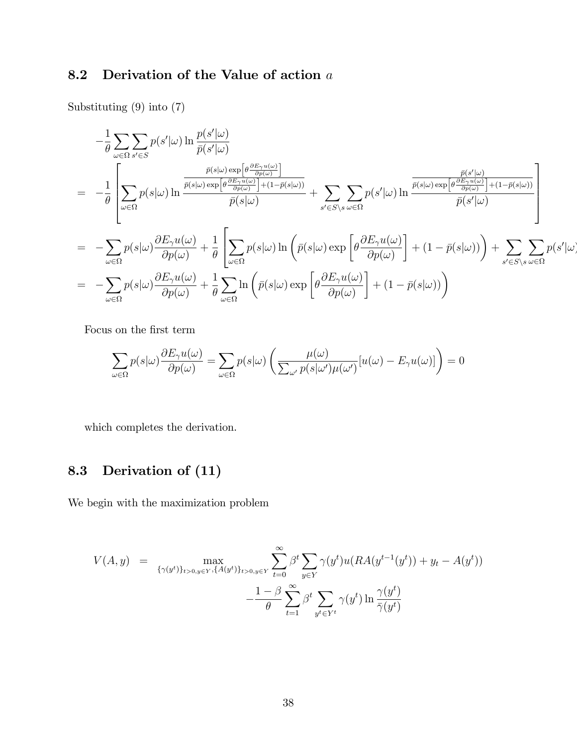## 8.2 Derivation of the Value of action a

Substituting (9) into (7)

$$
-\frac{1}{\theta} \sum_{\omega \in \Omega} \sum_{s' \in S} p(s'|\omega) \ln \frac{p(s'|\omega)}{\bar{p}(s'|\omega)}
$$
  
\n
$$
= -\frac{1}{\theta} \left[ \sum_{\omega \in \Omega} p(s|\omega) \ln \frac{\frac{\bar{p}(s|\omega) \exp \left[\theta \frac{\partial E_{\gamma} u(\omega)}{\partial p(\omega)}\right]}{\bar{p}(s|\omega) \exp \left[\theta \frac{\partial E_{\gamma} u(\omega)}{\partial p(\omega)}\right] + (1 - \bar{p}(s|\omega))} + \sum_{s' \in S \setminus s} \sum_{\omega \in \Omega} p(s'|\omega) \ln \frac{\frac{\bar{p}(s'|\omega)}{\bar{p}(s'|\omega)}}{\bar{p}(s'|\omega)} + (1 - \bar{p}(s|\omega)) \right] \right]
$$
  
\n
$$
= -\sum_{\omega \in \Omega} p(s|\omega) \frac{\partial E_{\gamma} u(\omega)}{\partial p(\omega)} + \frac{1}{\theta} \left[ \sum_{\omega \in \Omega} p(s|\omega) \ln \left(\bar{p}(s|\omega) \exp \left[\theta \frac{\partial E_{\gamma} u(\omega)}{\partial p(\omega)}\right] + (1 - \bar{p}(s|\omega))\right) + \sum_{s' \in S \setminus s} \sum_{\omega \in \Omega} p(s'|\omega) \frac{\partial E_{\gamma} u(\omega)}{\partial p(\omega)} + \frac{1}{\theta} \sum_{\omega \in \Omega} \ln \left(\bar{p}(s|\omega) \exp \left[\theta \frac{\partial E_{\gamma} u(\omega)}{\partial p(\omega)}\right] + (1 - \bar{p}(s|\omega))\right) \right]
$$

Focus on the first term

$$
\sum_{\omega \in \Omega} p(s|\omega) \frac{\partial E_{\gamma} u(\omega)}{\partial p(\omega)} = \sum_{\omega \in \Omega} p(s|\omega) \left( \frac{\mu(\omega)}{\sum_{\omega'} p(s|\omega') \mu(\omega')} [u(\omega) - E_{\gamma} u(\omega)] \right) = 0
$$

which completes the derivation.

## 8.3 Derivation of (11)

We begin with the maximization problem

$$
V(A, y) = \max_{\{\gamma(y^t)\}_{t>0, y \in Y}, \{A(y^t)\}_{t>0, y \in Y}} \sum_{t=0}^{\infty} \beta^t \sum_{y \in Y} \gamma(y^t) u(RA(y^{t-1}(y^t)) + y_t - A(y^t)) - \frac{1-\beta}{\theta} \sum_{t=1}^{\infty} \beta^t \sum_{y^t \in Y^t} \gamma(y^t) \ln \frac{\gamma(y^t)}{\bar{\gamma}(y^t)}
$$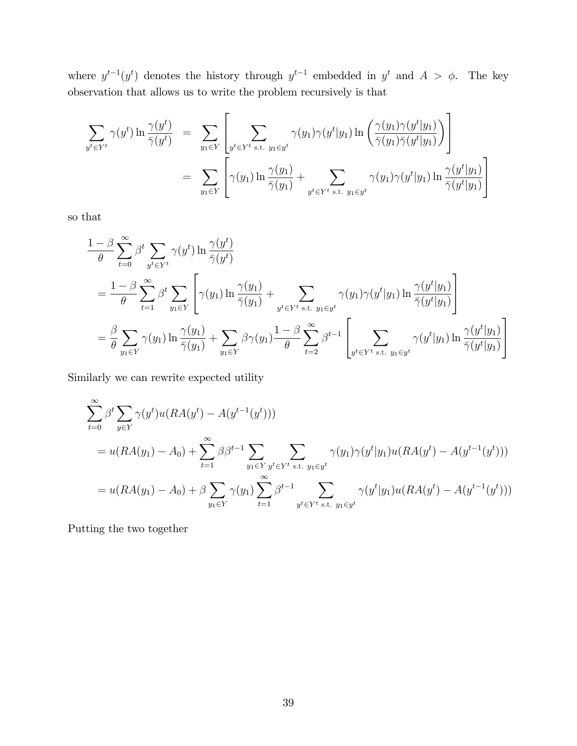where  $y^{t-1}(y^t)$  denotes the history through  $y^{t-1}$  embedded in  $y^t$  and  $A > \phi$ . The key observation that allows us to write the problem recursively is that

$$
\sum_{y^t \in Y^t} \gamma(y^t) \ln \frac{\gamma(y^t)}{\bar{\gamma}(y^t)} = \sum_{y_1 \in Y} \left[ \sum_{y^t \in Y^t \text{ s.t. } y_1 \in y^t} \gamma(y_1) \gamma(y^t | y_1) \ln \left( \frac{\gamma(y_1) \gamma(y^t | y_1)}{\bar{\gamma}(y_1) \bar{\gamma}(y^t | y_1)} \right) \right]
$$
  

$$
= \sum_{y_1 \in Y} \left[ \gamma(y_1) \ln \frac{\gamma(y_1)}{\bar{\gamma}(y_1)} + \sum_{y^t \in Y^t \text{ s.t. } y_1 \in y^t} \gamma(y_1) \gamma(y^t | y_1) \ln \frac{\gamma(y^t | y_1)}{\bar{\gamma}(y^t | y_1)} \right]
$$

so that

$$
\frac{1-\beta}{\theta} \sum_{t=0}^{\infty} \beta^t \sum_{y^t \in Y^t} \gamma(y^t) \ln \frac{\gamma(y^t)}{\bar{\gamma}(y^t)} \n= \frac{1-\beta}{\theta} \sum_{t=1}^{\infty} \beta^t \sum_{y_1 \in Y} \left[ \gamma(y_1) \ln \frac{\gamma(y_1)}{\bar{\gamma}(y_1)} + \sum_{y^t \in Y^t \text{ s.t. } y_1 \in y^t} \gamma(y_1) \gamma(y^t | y_1) \ln \frac{\gamma(y^t | y_1)}{\bar{\gamma}(y^t | y_1)} \right] \n= \frac{\beta}{\theta} \sum_{y_1 \in Y} \gamma(y_1) \ln \frac{\gamma(y_1)}{\bar{\gamma}(y_1)} + \sum_{y_1 \in Y} \beta \gamma(y_1) \frac{1-\beta}{\theta} \sum_{t=2}^{\infty} \beta^{t-1} \left[ \sum_{y^t \in Y^t \text{ s.t. } y_1 \in y^t} \gamma(y^t | y_1) \ln \frac{\gamma(y^t | y_1)}{\bar{\gamma}(y^t | y_1)} \right]
$$

Similarly we can rewrite expected utility

$$
\sum_{t=0}^{\infty} \beta^{t} \sum_{y \in Y} \gamma(y^{t}) u(RA(y^{t}) - A(y^{t-1}(y^{t})))
$$
\n
$$
= u(RA(y_{1}) - A_{0}) + \sum_{t=1}^{\infty} \beta \beta^{t-1} \sum_{y_{1} \in Y} \sum_{y^{t} \in Y^{t} \text{ s.t. } y_{1} \in y^{t}} \gamma(y_{1}) \gamma(y^{t}|y_{1}) u(RA(y^{t}) - A(y^{t-1}(y^{t})))
$$
\n
$$
= u(RA(y_{1}) - A_{0}) + \beta \sum_{y_{1} \in Y} \gamma(y_{1}) \sum_{t=1}^{\infty} \beta^{t-1} \sum_{y^{t} \in Y^{t} \text{ s.t. } y_{1} \in y^{t}} \gamma(y^{t}|y_{1}) u(RA(y^{t}) - A(y^{t-1}(y^{t})))
$$

Putting the two together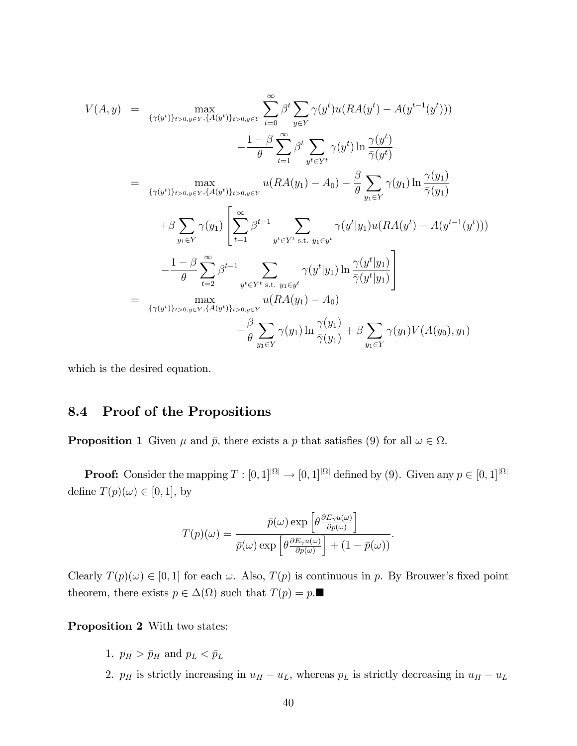$$
V(A,y) = \max_{\{\gamma(y^t)\}_{t>0,y\in Y}, \{A(y^t)\}_{t>0,y\in Y}} \sum_{t=0}^{\infty} \beta^t \sum_{y \in Y} \gamma(y^t) u(RA(y^t) - A(y^{t-1}(y^t)))
$$
  
\n
$$
- \frac{1-\beta}{\theta} \sum_{t=1}^{\infty} \beta^t \sum_{y^t \in Y^t} \gamma(y^t) \ln \frac{\gamma(y^t)}{\overline{\gamma}(y^t)}
$$
  
\n
$$
= \max_{\{\gamma(y^t)\}_{t>0,y\in Y}, \{A(y^t)\}_{t>0,y\in Y}} u(RA(y_1) - A_0) - \frac{\beta}{\theta} \sum_{y_1 \in Y} \gamma(y_1) \ln \frac{\gamma(y_1)}{\overline{\gamma}(y_1)}
$$
  
\n
$$
+ \beta \sum_{y_1 \in Y} \gamma(y_1) \left[ \sum_{t=1}^{\infty} \beta^{t-1} \sum_{y^t \in Y^t \text{ s.t. } y_1 \in y^t} \gamma(y^t | y_1) u(RA(y^t) - A(y^{t-1}(y^t))) \right]
$$
  
\n
$$
- \frac{1-\beta}{\theta} \sum_{t=2}^{\infty} \beta^{t-1} \sum_{y^t \in Y^t \text{ s.t. } y_1 \in y^t} \gamma(y^t | y_1) \ln \frac{\gamma(y^t | y_1)}{\overline{\gamma}(y^t | y_1)} \right]
$$
  
\n
$$
= \max_{\{\gamma(y^t)\}_{t>0,y\in Y}, \{A(y^t)\}_{t>0,y\in Y}} u(RA(y_1) - A_0)
$$
  
\n
$$
- \frac{\beta}{\theta} \sum_{y_1 \in Y} \gamma(y_1) \ln \frac{\gamma(y_1)}{\overline{\gamma}(y_1)} + \beta \sum_{y_1 \in Y} \gamma(y_1) V(A(y_0), y_1)
$$

which is the desired equation.

### 8.4 Proof of the Propositions

**Proposition 1** Given  $\mu$  and  $\bar{p}$ , there exists a p that satisfies (9) for all  $\omega \in \Omega$ .

**Proof:** Consider the mapping  $T : [0, 1]^{|\Omega|} \to [0, 1]^{|\Omega|}$  defined by (9). Given any  $p \in [0, 1]^{|\Omega|}$ define  $T(p)(\omega) \in [0, 1]$ , by

$$
T(p)(\omega) = \frac{\bar{p}(\omega) \exp\left[\theta \frac{\partial E_{\gamma} u(\omega)}{\partial p(\omega)}\right]}{\bar{p}(\omega) \exp\left[\theta \frac{\partial E_{\gamma} u(\omega)}{\partial p(\omega)}\right] + (1 - \bar{p}(\omega))}.
$$

Clearly  $T(p)(\omega) \in [0, 1]$  for each  $\omega$ . Also,  $T(p)$  is continuous in p. By Brouwer's fixed point theorem, there exists  $p \in \Delta(\Omega)$  such that  $T(p) = p$ .

Proposition 2 With two states:

- 1.  $p_H > \bar{p}_H$  and  $p_L < \bar{p}_L$
- 2.  $p_H$  is strictly increasing in  $u_H u_L$ , whereas  $p_L$  is strictly decreasing in  $u_H u_L$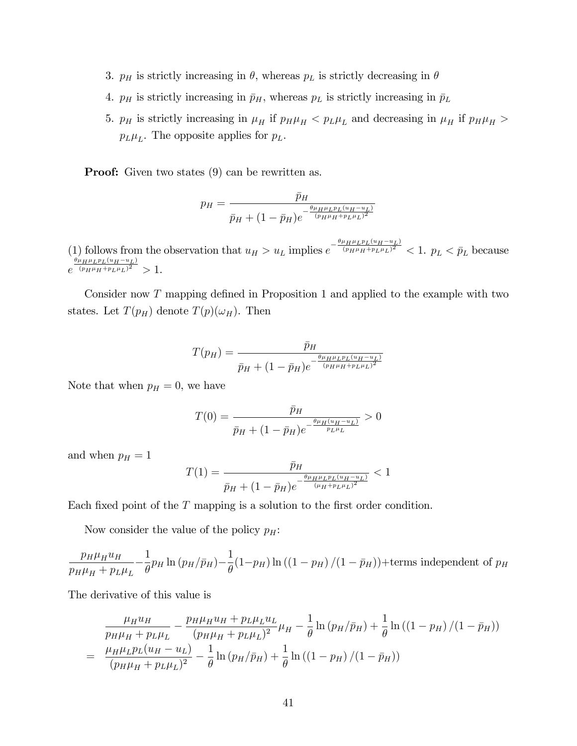- 3.  $p_H$  is strictly increasing in  $\theta$ , whereas  $p_L$  is strictly decreasing in  $\theta$
- 4.  $p_H$  is strictly increasing in  $\bar{p}_H$ , whereas  $p_L$  is strictly increasing in  $\bar{p}_L$
- 5.  $p_H$  is strictly increasing in  $\mu_H$  if  $p_H \mu_H < p_L \mu_L$  and decreasing in  $\mu_H$  if  $p_H \mu_H >$  $p_L\mu_L$ . The opposite applies for  $p_L$ .

**Proof:** Given two states  $(9)$  can be rewritten as.

$$
p_H = \frac{\bar{p}_H}{\bar{p}_H + (1 - \bar{p}_H)e^{-\frac{\theta \mu_H \mu_L p_L (u_H - u_L)}{(p_H \mu_H + p_L \mu_L)^2}}}
$$

(1) follows from the observation that  $u_H > u_L$  implies  $e^{-\frac{\theta\mu_H\mu_Lp_L(u_H-u_L)}{(p_H\mu_H+p_L\mu_L)^2}} < 1$ .  $p_L < \bar{p}_L$  because  $e^{\frac{\theta \mu_H \mu_L p_L (u_H - u_L)}{(p_H \mu_H + p_L \mu_L)^2}} > 1.$ 

Consider now  $T$  mapping defined in Proposition 1 and applied to the example with two states. Let  $T(p_H)$  denote  $T(p)(\omega_H)$ . Then

$$
T(p_H) = \frac{\bar{p}_H}{\bar{p}_H + (1 - \bar{p}_H)e^{-\frac{\theta \mu_H \mu_L p_L (u_H - u_L)}{(p_H \mu_H + p_L \mu_L)^2}}}
$$

Note that when  $p_H = 0$ , we have

$$
T(0) = \frac{\bar{p}_H}{\bar{p}_H + (1 - \bar{p}_H)e^{-\frac{\theta \mu_H (u_H - u_L)}{p_L \mu_L}}} > 0
$$

and when  $p_H = 1$ 

$$
T(1) = \frac{\bar{p}_H}{\bar{p}_H + (1 - \bar{p}_H)e^{-\frac{\theta \mu_H \mu_L p_L (u_H - u_L)}{(\mu_H + p_L \mu_L)^2}}} < 1
$$

Each fixed point of the  $T$  mapping is a solution to the first order condition.

Now consider the value of the policy  $p_H$ :

 $p_H\mu_Hu_H$  $\frac{1}{p_H \mu_H + p_L \mu_L}$ 1  $\frac{1}{\theta}$ p<sub>H</sub> ln (p<sub>H</sub>/p<sub>H</sub>)-1  $\frac{1}{\theta}(1-p_H)\ln((1-p_H)/(1-\bar{p}_H))+$ terms independent of  $p_H$ 

The derivative of this value is

$$
\frac{\mu_H u_H}{p_H \mu_H + p_L \mu_L} - \frac{p_H \mu_H u_H + p_L \mu_L u_L}{(p_H \mu_H + p_L \mu_L)^2} \mu_H - \frac{1}{\theta} \ln (p_H / \bar{p}_H) + \frac{1}{\theta} \ln ((1 - p_H) / (1 - \bar{p}_H))
$$
\n
$$
= \frac{\mu_H \mu_L p_L (u_H - u_L)}{(p_H \mu_H + p_L \mu_L)^2} - \frac{1}{\theta} \ln (p_H / \bar{p}_H) + \frac{1}{\theta} \ln ((1 - p_H) / (1 - \bar{p}_H))
$$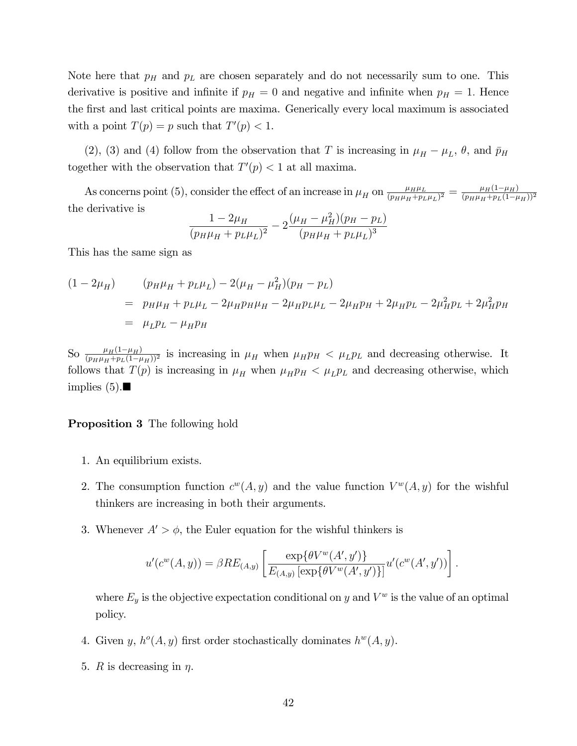Note here that  $p<sub>H</sub>$  and  $p<sub>L</sub>$  are chosen separately and do not necessarily sum to one. This derivative is positive and infinite if  $p_H = 0$  and negative and infinite when  $p_H = 1$ . Hence the first and last critical points are maxima. Generically every local maximum is associated with a point  $T(p) = p$  such that  $T'(p) < 1$ .

(2), (3) and (4) follow from the observation that T is increasing in  $\mu_H - \mu_L$ ,  $\theta$ , and  $\bar{p}_H$ together with the observation that  $T'(p) < 1$  at all maxima.

As concerns point (5), consider the effect of an increase in  $\mu_H$  on  $\frac{\mu_H \mu_L}{(p_H \mu_H + p_I)}$  $\frac{\mu_H\mu_L}{(p_H\mu_H+p_L\mu_L)^2}=\frac{\mu_H(1-\mu_H)}{(p_H\mu_H+p_L(1-\mu_H)}$  $(p_H\mu_H+p_L(1-\mu_H))^2$ the derivative is

$$
\frac{1 - 2\mu_H}{(p_H \mu_H + p_L \mu_L)^2} - 2 \frac{(\mu_H - \mu_H^2)(p_H - p_L)}{(p_H \mu_H + p_L \mu_L)^3}
$$

This has the same sign as

$$
(1 - 2\mu_H) \qquad (p_H \mu_H + p_L \mu_L) - 2(\mu_H - \mu_H^2)(p_H - p_L)
$$
  
=  $p_H \mu_H + p_L \mu_L - 2\mu_H p_H \mu_H - 2\mu_H p_L \mu_L - 2\mu_H p_H + 2\mu_H p_L - 2\mu_H^2 p_L + 2\mu_H^2 p_H$   
=  $\mu_L p_L - \mu_H p_H$ 

So  $\frac{\mu_H(1-\mu_H)}{(p_H\mu_H+p_L(1-\mu_H))^2}$  is increasing in  $\mu_H$  when  $\mu_H p_H < \mu_L p_L$  and decreasing otherwise. It follows that  $T(p)$  is increasing in  $\mu_H$  when  $\mu_H p_H < \mu_L p_L$  and decreasing otherwise, which implies  $(5)$ .

#### Proposition 3 The following hold

- 1. An equilibrium exists.
- 2. The consumption function  $c^w(A, y)$  and the value function  $V^w(A, y)$  for the wishful thinkers are increasing in both their arguments.
- 3. Whenever  $A' > \phi$ , the Euler equation for the wishful thinkers is

$$
u'(c^{w}(A, y)) = \beta RE_{(A, y)} \left[ \frac{\exp{\{\theta V^{w}(A', y')\}}}{E_{(A, y)} [\exp{\{\theta V^{w}(A', y')\}}]} u'(c^{w}(A', y')) \right].
$$

where  $E_y$  is the objective expectation conditional on y and  $V^w$  is the value of an optimal policy.

- 4. Given y,  $h^o(A, y)$  first order stochastically dominates  $h^w(A, y)$ .
- 5. R is decreasing in  $\eta$ .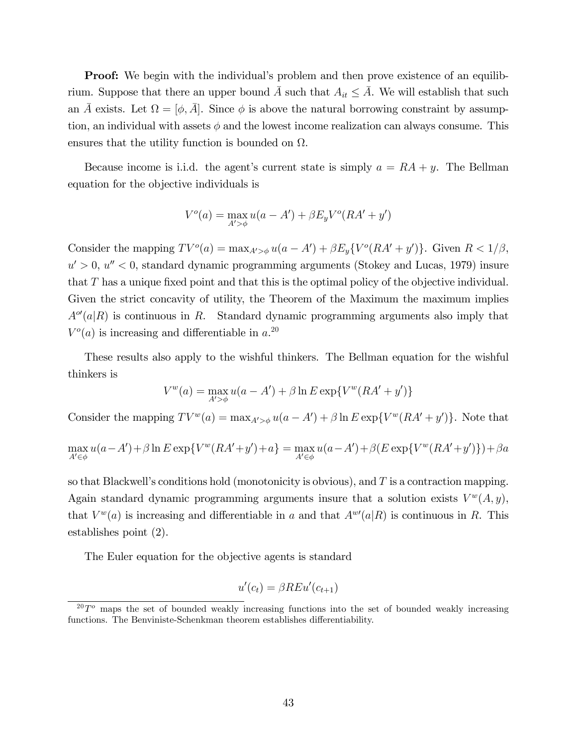**Proof:** We begin with the individual's problem and then prove existence of an equilibrium. Suppose that there an upper bound  $\overline{A}$  such that  $A_{it} \leq \overline{A}$ . We will establish that such an  $\bar{A}$  exists. Let  $\Omega = [\phi, \bar{A}]$ . Since  $\phi$  is above the natural borrowing constraint by assumption, an individual with assets  $\phi$  and the lowest income realization can always consume. This ensures that the utility function is bounded on  $\Omega$ .

Because income is i.i.d. the agent's current state is simply  $a = RA + y$ . The Bellman equation for the objective individuals is

$$
Vo(a) = \max_{A'>\phi} u(a - A') + \beta E_y Vo(RA' + y')
$$

Consider the mapping  $TV^o(a) = \max_{A' > \phi} u(a - A') + \beta E_y \{V^o(RA' + y')\}$ . Given  $R < 1/\beta$ ,  $u' > 0$ ,  $u'' < 0$ , standard dynamic programming arguments (Stokey and Lucas, 1979) insure that  $T$  has a unique fixed point and that this is the optimal policy of the objective individual. Given the strict concavity of utility, the Theorem of the Maximum the maximum implies  $A^{\circ\prime}(a|R)$  is continuous in R. Standard dynamic programming arguments also imply that  $V^o(a)$  is increasing and differentiable in  $a^{20}$ .

These results also apply to the wishful thinkers. The Bellman equation for the wishful thinkers is

$$
V^{w}(a) = \max_{A' > \phi} u(a - A') + \beta \ln E \exp\{V^{w}(RA' + y')\}
$$

Consider the mapping  $TV^w(a) = \max_{A' > \phi} u(a - A') + \beta \ln E \exp\{V^w(RA' + y')\}$ . Note that

$$
\max_{A' \in \phi} u(a - A') + \beta \ln E \exp \{ V^w (RA' + y') + a \} = \max_{A' \in \phi} u(a - A') + \beta (E \exp \{ V^w (RA' + y') \} ) + \beta a
$$

so that Blackwell's conditions hold (monotonicity is obvious), and  $T$  is a contraction mapping. Again standard dynamic programming arguments insure that a solution exists  $V^w(A, y)$ , that  $V^w(a)$  is increasing and differentiable in a and that  $A^{w}(a|R)$  is continuous in R. This establishes point (2).

The Euler equation for the objective agents is standard

$$
u'(c_t) = \beta REu'(c_{t+1})
$$

 $20T^{\circ}$  maps the set of bounded weakly increasing functions into the set of bounded weakly increasing functions. The Benviniste-Schenkman theorem establishes differentiability.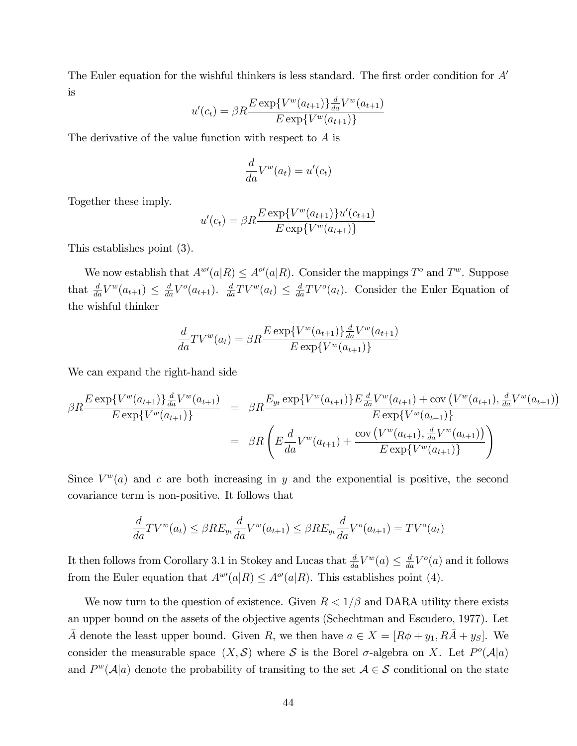The Euler equation for the wishful thinkers is less standard. The first order condition for  $A'$ is

$$
u'(c_t) = \beta R \frac{E \exp\{V^w(a_{t+1})\} \frac{d}{da} V^w(a_{t+1})}{E \exp\{V^w(a_{t+1})\}}
$$

The derivative of the value function with respect to A is

$$
\frac{d}{da}V^w(a_t) = u'(c_t)
$$

Together these imply.

$$
u'(c_t) = \beta R \frac{E \exp\{V^w(a_{t+1})\} u'(c_{t+1})}{E \exp\{V^w(a_{t+1})\}}
$$

This establishes point (3).

We now establish that  $A^{w}(a|R) \leq A^{\circ}(a|R)$ . Consider the mappings  $T^{\circ}$  and  $T^{w}$ . Suppose that  $\frac{d}{da}V^w(a_{t+1}) \leq \frac{d}{da}V^o(a_{t+1})$ .  $\frac{d}{da}TV^w(a_t) \leq \frac{d}{da}TV^o(a_t)$ . Consider the Euler Equation of the wishful thinker

$$
\frac{d}{da}TV^{w}(a_{t}) = \beta R \frac{E \exp\{V^{w}(a_{t+1})\} \frac{d}{da}V^{w}(a_{t+1})}{E \exp\{V^{w}(a_{t+1})\}}
$$

We can expand the right-hand side

$$
\beta R \frac{E \exp\{V^w(a_{t+1})\} \frac{d}{da}V^w(a_{t+1})}{E \exp\{V^w(a_{t+1})\}} = \beta R \frac{E_{y_t} \exp\{V^w(a_{t+1})\} E \frac{d}{da}V^w(a_{t+1}) + \text{cov}(V^w(a_{t+1}), \frac{d}{da}V^w(a_{t+1})\}}{E \exp\{V^w(a_{t+1})\}}
$$

$$
= \beta R \left(E \frac{d}{da}V^w(a_{t+1}) + \frac{\text{cov}(V^w(a_{t+1}), \frac{d}{da}V^w(a_{t+1})\}}{E \exp\{V^w(a_{t+1})\}}
$$

Since  $V^w(a)$  and c are both increasing in y and the exponential is positive, the second covariance term is non-positive. It follows that

$$
\frac{d}{da}TV^w(a_t) \leq \beta RE_{y_t}\frac{d}{da}V^w(a_{t+1}) \leq \beta RE_{y_t}\frac{d}{da}V^o(a_{t+1}) = TV^o(a_t)
$$

It then follows from Corollary 3.1 in Stokey and Lucas that  $\frac{d}{da}V^w(a) \leq \frac{d}{da}V^o(a)$  and it follows from the Euler equation that  $A^{w}(a|R) \leq A^{o}(a|R)$ . This establishes point (4).

We now turn to the question of existence. Given  $R < 1/\beta$  and DARA utility there exists an upper bound on the assets of the objective agents (Schechtman and Escudero, 1977). Let  $\overline{A}$  denote the least upper bound. Given R, we then have  $a \in X = [R\phi + y_1, R\overline{A} + y_S]$ . We consider the measurable space  $(X, \mathcal{S})$  where  $\mathcal S$  is the Borel  $\sigma$ -algebra on X. Let  $P^o(\mathcal{A}|a)$ and  $P^w(\mathcal{A}|a)$  denote the probability of transiting to the set  $\mathcal{A} \in \mathcal{S}$  conditional on the state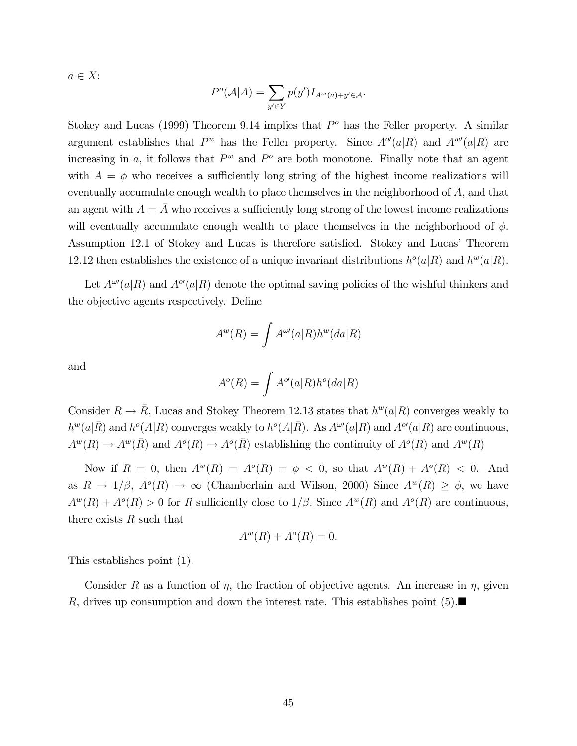$a \in X$ :

$$
P^o(\mathcal{A}|A) = \sum_{y' \in Y} p(y') I_{A^{o'}(a) + y' \in \mathcal{A}}.
$$

Stokey and Lucas (1999) Theorem 9.14 implies that  $P<sup>o</sup>$  has the Feller property. A similar argument establishes that  $P^w$  has the Feller property. Since  $A^{\mathcal{O}}(a|R)$  and  $A^{w\prime}(a|R)$  are increasing in a, it follows that  $P^w$  and  $P^o$  are both monotone. Finally note that an agent with  $A = \phi$  who receives a sufficiently long string of the highest income realizations will eventually accumulate enough wealth to place themselves in the neighborhood of  $\overline{A}$ , and that an agent with  $A = \overline{A}$  who receives a sufficiently long strong of the lowest income realizations will eventually accumulate enough wealth to place themselves in the neighborhood of  $\phi$ . Assumption 12.1 of Stokey and Lucas is therefore satisfied. Stokey and Lucas' Theorem 12.12 then establishes the existence of a unique invariant distributions  $h^o(a|R)$  and  $h^w(a|R)$ .

Let  $A^{\omega\prime}(a|R)$  and  $A^{\omega\prime}(a|R)$  denote the optimal saving policies of the wishful thinkers and the objective agents respectively. Define

$$
A^w(R) = \int A^{\omega\prime}(a|R)h^w(da|R)
$$

and

$$
A^o(R) = \int A^{o\prime}(a|R)h^o(da|R)
$$

Consider  $R \to \bar{R}$ , Lucas and Stokey Theorem 12.13 states that  $h^w(a|R)$  converges weakly to  $h^w(a|\overline{R})$  and  $h^o(A|R)$  converges weakly to  $h^o(A|\overline{R})$ . As  $A^{\omega\prime}(a|R)$  and  $A^{o\prime}(a|R)$  are continuous,  $A^w(R) \to A^w(\overline{R})$  and  $A^o(R) \to A^o(\overline{R})$  establishing the continuity of  $A^o(R)$  and  $A^w(R)$ 

Now if  $R = 0$ , then  $A^w(R) = A^o(R) = \phi < 0$ , so that  $A^w(R) + A^o(R) < 0$ . And as  $R \to 1/\beta$ ,  $A^o(R) \to \infty$  (Chamberlain and Wilson, 2000) Since  $A^w(R) \ge \phi$ , we have  $A^w(R) + A^o(R) > 0$  for R sufficiently close to  $1/\beta$ . Since  $A^w(R)$  and  $A^o(R)$  are continuous, there exists  $R$  such that

$$
A^w(R) + A^o(R) = 0.
$$

This establishes point (1).

Consider R as a function of  $\eta$ , the fraction of objective agents. An increase in  $\eta$ , given R, drives up consumption and down the interest rate. This establishes point  $(5)$ .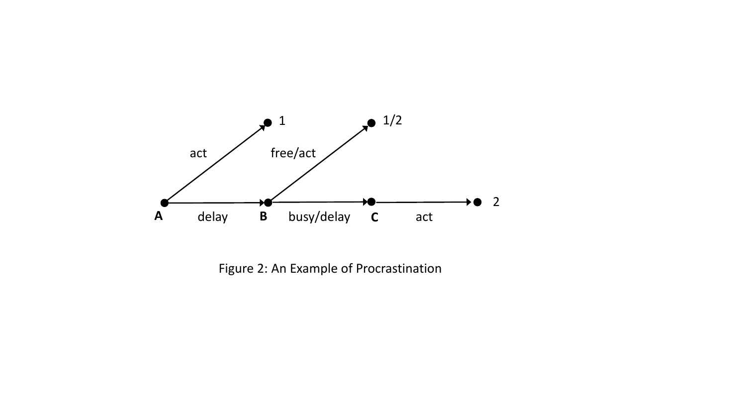

Figure 2: An Example of Procrastination